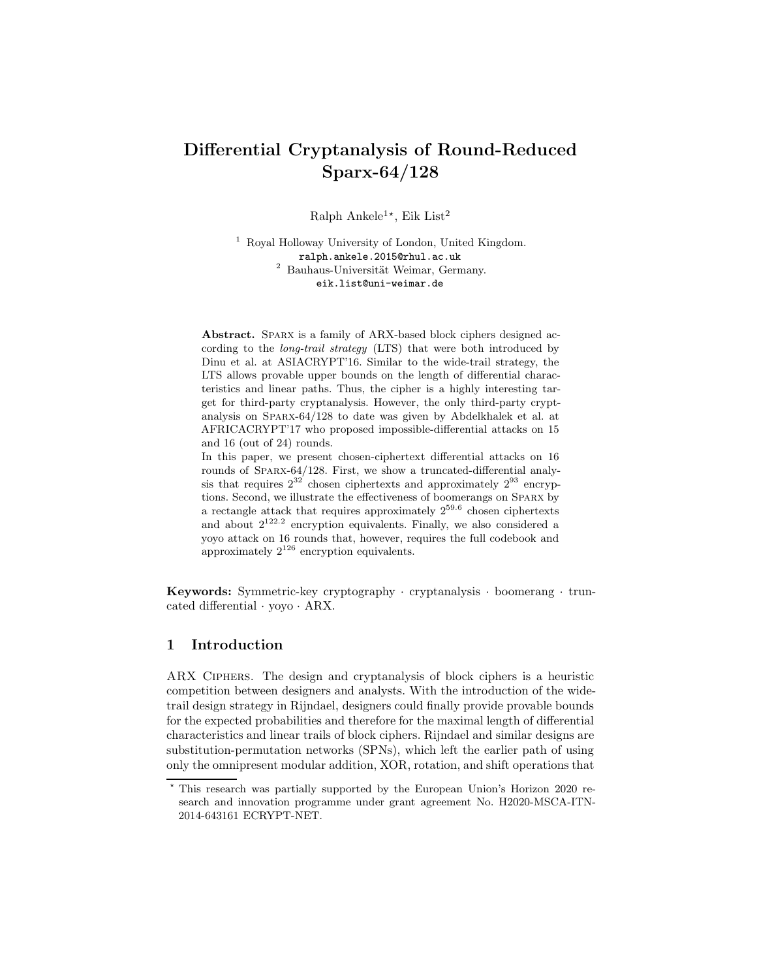# Differential Cryptanalysis of Round-Reduced Sparx-64/128

Ralph Ankele<sup>1\*</sup>, Eik List<sup>2</sup>

<sup>1</sup> Royal Holloway University of London, United Kingdom. ralph.ankele.2015@rhul.ac.uk  $2$  Bauhaus-Universität Weimar, Germany. eik.list@uni-weimar.de

Abstract. SPARX is a family of ARX-based block ciphers designed according to the long-trail strategy (LTS) that were both introduced by Dinu et al. at ASIACRYPT'16. Similar to the wide-trail strategy, the LTS allows provable upper bounds on the length of differential characteristics and linear paths. Thus, the cipher is a highly interesting target for third-party cryptanalysis. However, the only third-party cryptanalysis on Sparx-64/128 to date was given by Abdelkhalek et al. at AFRICACRYPT'17 who proposed impossible-differential attacks on 15 and 16 (out of 24) rounds.

In this paper, we present chosen-ciphertext differential attacks on 16 rounds of Sparx-64/128. First, we show a truncated-differential analysis that requires  $2^{32}$  chosen ciphertexts and approximately  $2^{93}$  encryptions. Second, we illustrate the effectiveness of boomerangs on Sparx by a rectangle attack that requires approximately  $2^{59.6}$  chosen ciphertexts and about  $2^{122.2}$  encryption equivalents. Finally, we also considered a yoyo attack on 16 rounds that, however, requires the full codebook and approximately  $2^{126}$  encryption equivalents.

Keywords: Symmetric-key cryptography · cryptanalysis · boomerang · truncated differential · yoyo · ARX.

### 1 Introduction

ARX Ciphers. The design and cryptanalysis of block ciphers is a heuristic competition between designers and analysts. With the introduction of the widetrail design strategy in Rijndael, designers could finally provide provable bounds for the expected probabilities and therefore for the maximal length of differential characteristics and linear trails of block ciphers. Rijndael and similar designs are substitution-permutation networks (SPNs), which left the earlier path of using only the omnipresent modular addition, XOR, rotation, and shift operations that

This research was partially supported by the European Union's Horizon 2020 research and innovation programme under grant agreement No. H2020-MSCA-ITN-2014-643161 ECRYPT-NET.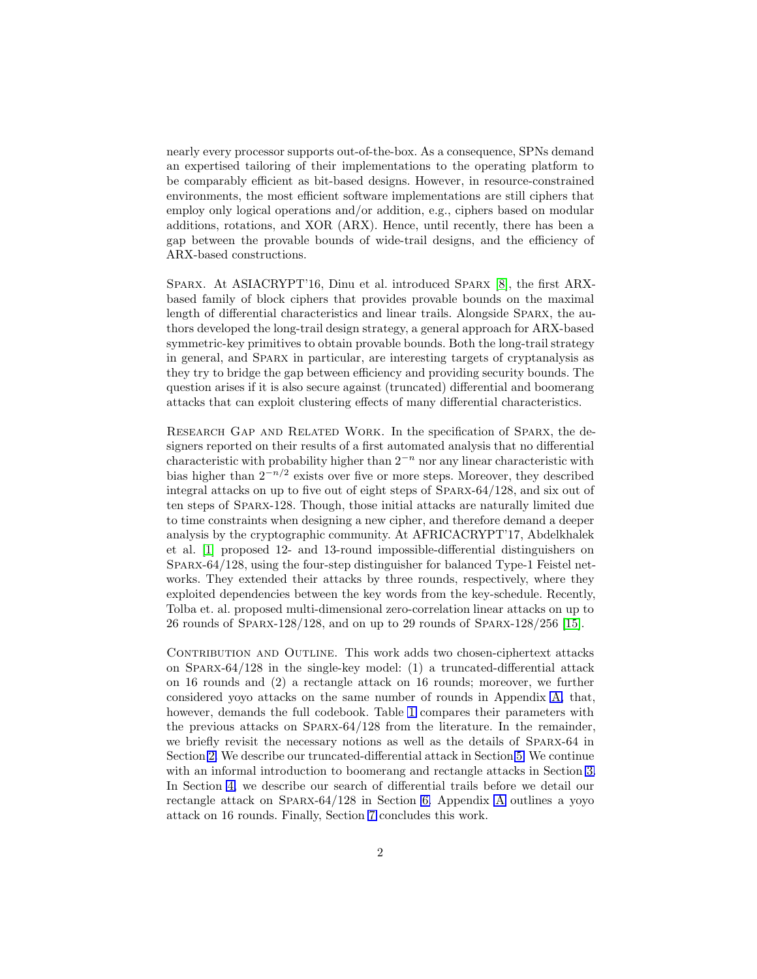nearly every processor supports out-of-the-box. As a consequence, SPNs demand an expertised tailoring of their implementations to the operating platform to be comparably efficient as bit-based designs. However, in resource-constrained environments, the most efficient software implementations are still ciphers that employ only logical operations and/or addition, e.g., ciphers based on modular additions, rotations, and XOR (ARX). Hence, until recently, there has been a gap between the provable bounds of wide-trail designs, and the efficiency of ARX-based constructions.

Sparx. At ASIACRYPT'16, Dinu et al. introduced Sparx [8], the first ARXbased family of block ciphers that provides provable bounds on the maximal length of differential characteristics and linear trails. Alongside Sparx, the authors developed the long-trail design strategy, a general approach for ARX-based symmetric-key primitives to obtain provable bounds. Both the long-trail strategy in general, and Sparx in particular, are interesting targets of cryptanalysis as they try to bridge the gap between efficiency and providing security bounds. The question arises if it is also secure against (truncated) differential and boomerang attacks that can exploit clustering effects of many differential characteristics.

Research Gap and Related Work. In the specification of Sparx, the designers reported on their results of a first automated analysis that no differential characteristic with probability higher than  $2^{-n}$  nor any linear characteristic with bias higher than  $2^{-n/2}$  exists over five or more steps. Moreover, they described integral attacks on up to five out of eight steps of Sparx-64/128, and six out of ten steps of Sparx-128. Though, those initial attacks are naturally limited due to time constraints when designing a new cipher, and therefore demand a deeper analysis by the cryptographic community. At AFRICACRYPT'17, Abdelkhalek et al. [1] proposed 12- and 13-round impossible-differential distinguishers on Sparx-64/128, using the four-step distinguisher for balanced Type-1 Feistel networks. They extended their attacks by three rounds, respectively, where they exploited dependencies between the key words from the key-schedule. Recently, Tolba et. al. proposed multi-dimensional zero-correlation linear attacks on up to 26 rounds of Sparx-128/128, and on up to 29 rounds of Sparx-128/256 [15].

CONTRIBUTION AND OUTLINE. This work adds two chosen-ciphertext attacks on Sparx-64/128 in the single-key model: (1) a truncated-differential attack on 16 rounds and (2) a rectangle attack on 16 rounds; moreover, we further considered yoyo attacks on the same number of rounds in Appendix [A,](#page-17-0) that, however, demands the full codebook. Table [1](#page-2-0) compares their parameters with the previous attacks on Sparx-64/128 from the literature. In the remainder, we briefly revisit the necessary notions as well as the details of Sparx-64 in Section [2.](#page-2-1) We describe our truncated-differential attack in Section [5.](#page-10-0) We continue with an informal introduction to boomerang and rectangle attacks in Section [3.](#page-4-0) In Section [4,](#page-6-0) we describe our search of differential trails before we detail our rectangle attack on Sparx-64/128 in Section [6.](#page-13-0) Appendix [A](#page-17-0) outlines a yoyo attack on 16 rounds. Finally, Section [7](#page-15-0) concludes this work.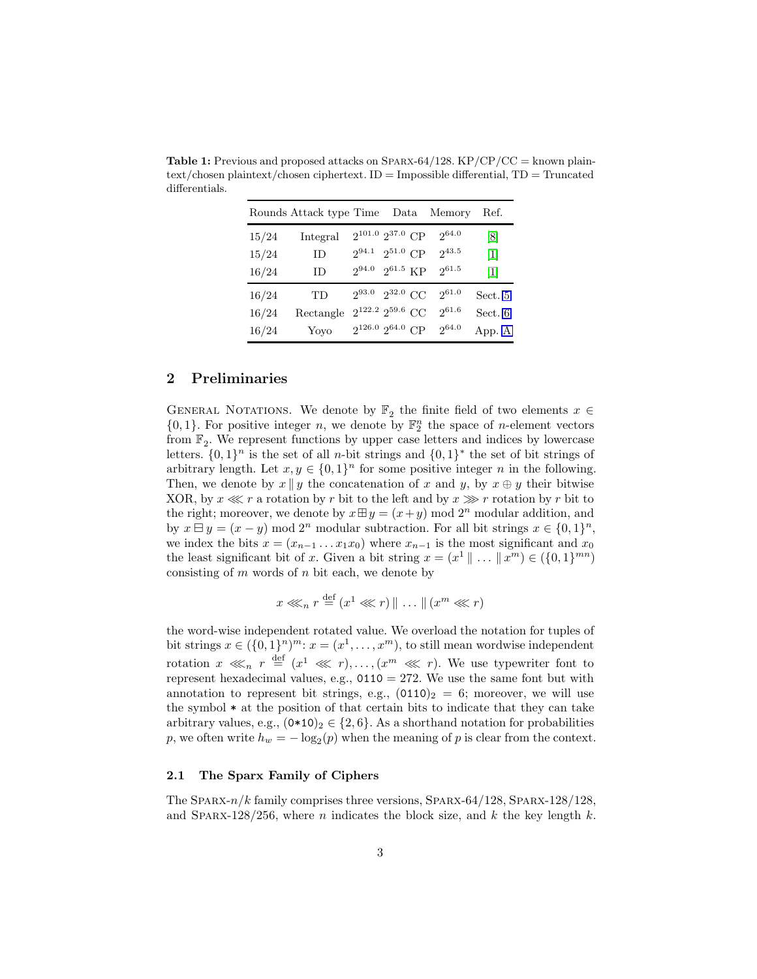|       | Rounds Attack type Time |                           |  | Data Memory | Ref.    |
|-------|-------------------------|---------------------------|--|-------------|---------|
| 15/24 | Integral                | $2^{101.0}$ $2^{37.0}$ CP |  | 264.0       | [8]     |
| 15/24 | ID                      | $2^{94.1}$ $2^{51.0}$ CP  |  | $2^{43.5}$  | 1       |
| 16/24 | <b>ID</b>               | $2^{94.0}$ $2^{61.5}$ KP  |  | $2^{61.5}$  | 1       |
| 16/24 | TD                      | $2^{93.0}$ $2^{32.0}$ CC  |  | $2^{61.0}$  | Sect. 5 |
| 16/24 | Rectangle               | $2^{122.2}$ $2^{59.6}$ CC |  | $2^{61.6}$  | Sect. 6 |
| 16/24 | Yoyo                    | $2^{126.0}$ $2^{64.0}$ CP |  | 264.0       | App. A  |

<span id="page-2-0"></span>Table 1: Previous and proposed attacks on SPARX-64/128. KP/CP/CC = known plain $text/chosen plaintext/chosen ciphertext. ID = Impossible differential, TD = Truncated$ differentials.

### <span id="page-2-1"></span>2 Preliminaries

GENERAL NOTATIONS. We denote by  $\mathbb{F}_2$  the finite field of two elements  $x \in$  $\{0,1\}$ . For positive integer *n*, we denote by  $\mathbb{F}_2^n$  the space of *n*-element vectors from  $\mathbb{F}_2$ . We represent functions by upper case letters and indices by lowercase letters.  $\{0,1\}^n$  is the set of all *n*-bit strings and  $\{0,1\}^*$  the set of bit strings of arbitrary length. Let  $x, y \in \{0, 1\}^n$  for some positive integer n in the following. Then, we denote by  $x \parallel y$  the concatenation of x and y, by  $x \oplus y$  their bitwise XOR, by  $x \ll r$  a rotation by r bit to the left and by  $x \gg r$  rotation by r bit to the right; moreover, we denote by  $x \boxplus y = (x+y) \mod 2^n$  modular addition, and by  $x \boxminus y = (x - y) \mod 2^n$  modular subtraction. For all bit strings  $x \in \{0, 1\}^n$ , we index the bits  $x = (x_{n-1} \dots x_1 x_0)$  where  $x_{n-1}$  is the most significant and  $x_0$ the least significant bit of x. Given a bit string  $x = (x^1 \mid \ldots \mid x^m) \in (\{0, 1\}^{mn})$ consisting of  $m$  words of  $n$  bit each, we denote by

$$
x \lll_n r \stackrel{\text{def}}{=} (x^1 \lll r) \parallel \ldots \parallel (x^m \lll r)
$$

the word-wise independent rotated value. We overload the notation for tuples of bit strings  $x \in (\{0,1\}^n)^m$ :  $x = (x^1, \ldots, x^m)$ , to still mean wordwise independent rotation  $x \ll n$   $r \stackrel{\text{def}}{=} (x^1 \ll r), \ldots, (x^m \ll r)$ . We use typewriter font to represent hexadecimal values, e.g.,  $0110 = 272$ . We use the same font but with annotation to represent bit strings, e.g.,  $(0110)<sub>2</sub> = 6$ ; moreover, we will use the symbol \* at the position of that certain bits to indicate that they can take arbitrary values, e.g.,  $(0*10)_2 \in \{2,6\}$ . As a shorthand notation for probabilities p, we often write  $h_w = -\log_2(p)$  when the meaning of p is clear from the context.

### 2.1 The Sparx Family of Ciphers

The SPARX- $n/k$  family comprises three versions, SPARX-64/128, SPARX-128/128, and SPARX-128/256, where n indicates the block size, and k the key length k.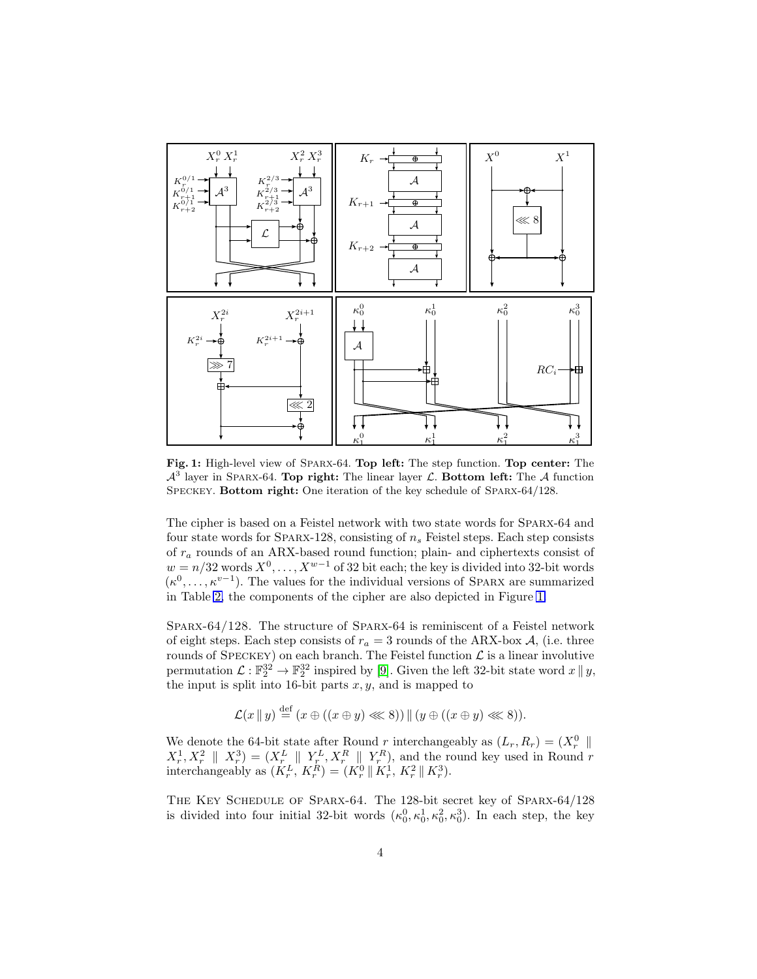<span id="page-3-0"></span>

Fig. 1: High-level view of Sparx-64. Top left: The step function. Top center: The  $\mathcal{A}^3$  layer in SPARX-64. Top right: The linear layer  $\mathcal{L}$ . Bottom left: The  $\mathcal{A}$  function SPECKEY. Bottom right: One iteration of the key schedule of SPARX-64/128.

The cipher is based on a Feistel network with two state words for Sparx-64 and four state words for SPARX-128, consisting of  $n_s$  Feistel steps. Each step consists of  $r_a$  rounds of an ARX-based round function; plain- and ciphertexts consist of  $w = n/32$  words  $X^0, \ldots, X^{w-1}$  of 32 bit each; the key is divided into 32-bit words  $(\kappa^0, \ldots, \kappa^{v-1})$ . The values for the individual versions of SPARX are summarized in Table [2,](#page-4-1) the components of the cipher are also depicted in Figure [1.](#page-3-0)

Sparx-64/128. The structure of Sparx-64 is reminiscent of a Feistel network of eight steps. Each step consists of  $r_a = 3$  rounds of the ARX-box A, (i.e. three rounds of SPECKEY) on each branch. The Feistel function  $\mathcal L$  is a linear involutive permutation  $\mathcal{L}: \mathbb{F}_2^{32} \to \mathbb{F}_2^{32}$  inspired by [\[9\]](#page-16-0). Given the left 32-bit state word  $x \parallel y$ , the input is split into 16-bit parts  $x, y$ , and is mapped to

$$
\mathcal{L}(x \mid y) \stackrel{\text{def}}{=} (x \oplus ((x \oplus y) \lll 8)) \mid (y \oplus ((x \oplus y) \lll 8)).
$$

We denote the 64-bit state after Round r interchangeably as  $(L_r, R_r) = (X_r^0 \parallel$  $X_r^1, X_r^2 \parallel X_r^3$  =  $(X_r^L \parallel Y_r^L, X_r^R \parallel Y_r^R)$ , and the round key used in Round r interchangeably as  $(K_r^L, K_r^R) = (K_r^0 \parallel K_r^1, K_r^2 \parallel K_r^3)$ .

The Key Schedule of Sparx-64. The 128-bit secret key of Sparx-64/128 is divided into four initial 32-bit words  $(\kappa_0^0, \kappa_0^1, \kappa_0^2, \kappa_0^3)$ . In each step, the key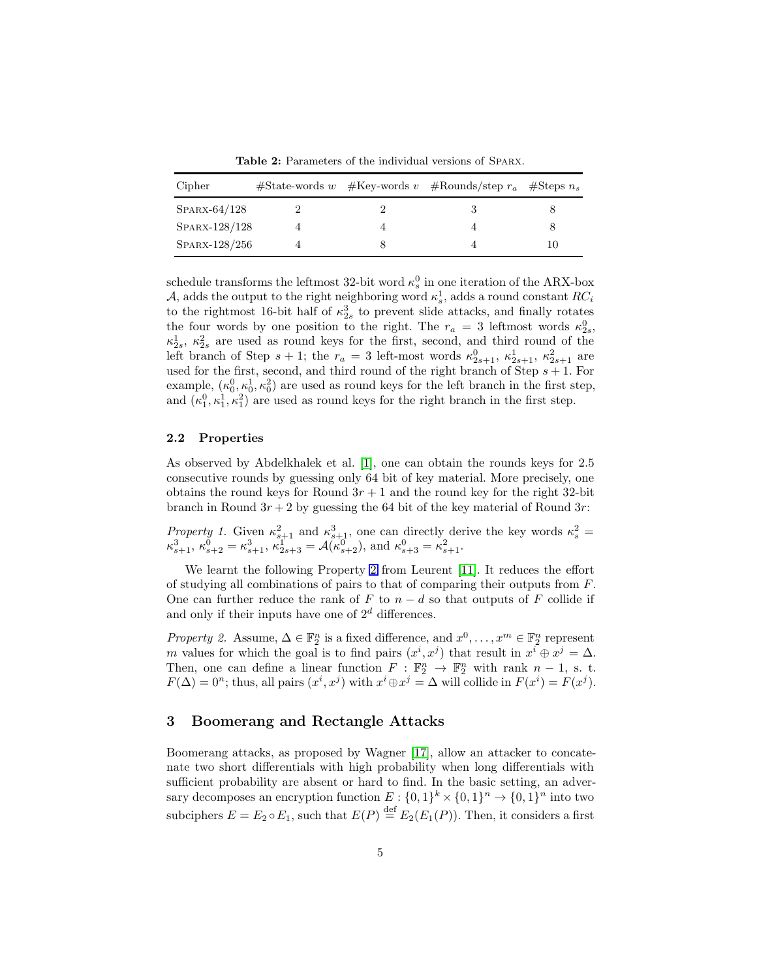Table 2: Parameters of the individual versions of SPARX.

<span id="page-4-1"></span>

| Cipher         |  | $\# \text{State-words } w \neq \text{Key-words } v \neq \text{Rounds}/\text{step } r_a \neq \text{Steps } n_s$ |    |
|----------------|--|----------------------------------------------------------------------------------------------------------------|----|
| $SPARX-64/128$ |  |                                                                                                                |    |
| SPARX-128/128  |  |                                                                                                                |    |
| SPARX-128/256  |  |                                                                                                                | 10 |

schedule transforms the leftmost 32-bit word  $\kappa_s^0$  in one iteration of the ARX-box A, adds the output to the right neighboring word  $\kappa_s^1$ , adds a round constant  $RC_i$ to the rightmost 16-bit half of  $\kappa_{2s}^3$  to prevent slide attacks, and finally rotates the four words by one position to the right. The  $r_a = 3$  leftmost words  $\kappa_{2s}^0$ ,  $\kappa_{2s}^1$ ,  $\kappa_{2s}^2$  are used as round keys for the first, second, and third round of the left branch of Step  $s + 1$ ; the  $r_a = 3$  left-most words  $\kappa_{2s+1}^0$ ,  $\kappa_{2s+1}^1$ ,  $\kappa_{2s+1}^2$  are used for the first, second, and third round of the right branch of Step  $s + 1$ . For example,  $(\kappa_0^0, \kappa_0^1, \kappa_0^2)$  are used as round keys for the left branch in the first step, and  $(\kappa_1^0, \kappa_1^1, \kappa_1^2)$  are used as round keys for the right branch in the first step.

### 2.2 Properties

As observed by Abdelkhalek et al. [1], one can obtain the rounds keys for 2.5 consecutive rounds by guessing only 64 bit of key material. More precisely, one obtains the round keys for Round  $3r + 1$  and the round key for the right 32-bit branch in Round  $3r + 2$  by guessing the 64 bit of the key material of Round  $3r$ :

<span id="page-4-3"></span>Property 1. Given  $\kappa_{s+1}^2$  and  $\kappa_{s+1}^3$ , one can directly derive the key words  $\kappa_s^2$  =  $\kappa_{s+1}^3, \, \kappa_{s+2}^0 = \kappa_{s+1}^3, \, \kappa_{2s+3}^1 = \mathcal{A}(\kappa_{s+2}^0)$ , and  $\kappa_{s+3}^0 = \kappa_{s+1}^2$ .

We learnt the following Property [2](#page-4-2) from Leurent [11]. It reduces the effort of studying all combinations of pairs to that of comparing their outputs from F. One can further reduce the rank of F to  $n - d$  so that outputs of F collide if and only if their inputs have one of  $2^d$  differences.

<span id="page-4-2"></span>*Property 2.* Assume,  $\Delta \in \mathbb{F}_2^n$  is a fixed difference, and  $x^0, \ldots, x^m \in \mathbb{F}_2^n$  represent m values for which the goal is to find pairs  $(x^i, x^j)$  that result in  $x^i \oplus x^j = \Delta$ . Then, one can define a linear function  $F : \mathbb{F}_2^n \to \mathbb{F}_2^n$  with rank  $n-1$ , s. t.  $F(\Delta) = 0^n$ ; thus, all pairs  $(x^i, x^j)$  with  $x^i \oplus x^j = \Delta$  will collide in  $F(x^i) = F(x^j)$ .

## <span id="page-4-0"></span>3 Boomerang and Rectangle Attacks

Boomerang attacks, as proposed by Wagner [\[17\]](#page-17-1), allow an attacker to concatenate two short differentials with high probability when long differentials with sufficient probability are absent or hard to find. In the basic setting, an adversary decomposes an encryption function  $E: \{0,1\}^k \times \{0,1\}^n \to \{0,1\}^n$  into two subciphers  $E = E_2 \circ E_1$ , such that  $E(P) \stackrel{\text{def}}{=} E_2(E_1(P))$ . Then, it considers a first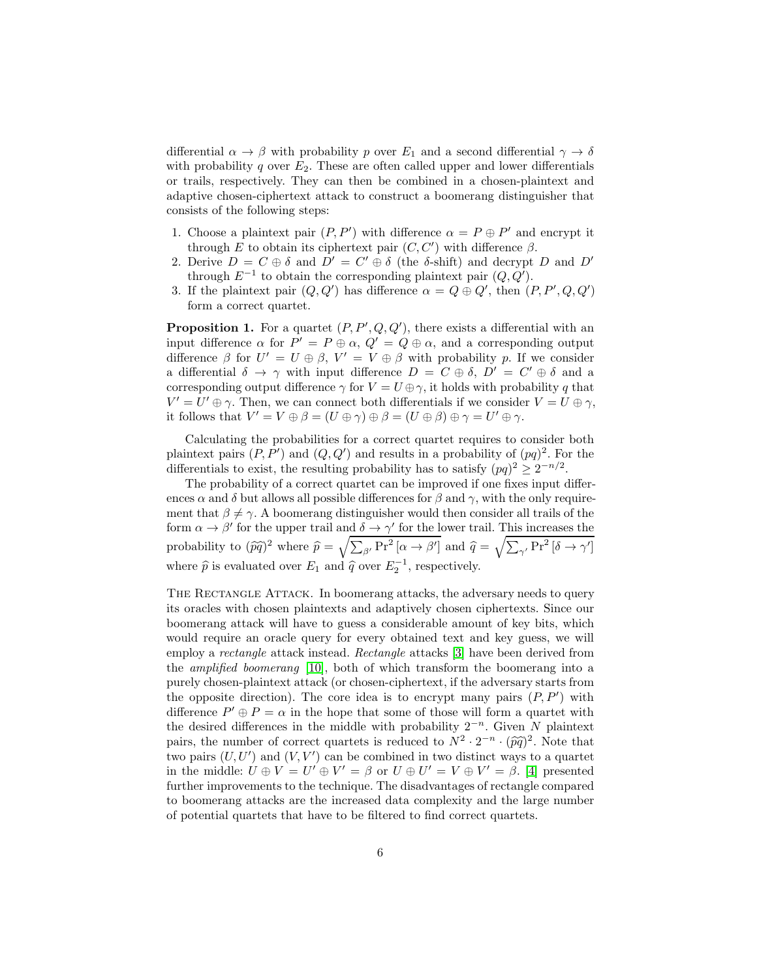differential  $\alpha \to \beta$  with probability p over  $E_1$  and a second differential  $\gamma \to \delta$ with probability q over  $E_2$ . These are often called upper and lower differentials or trails, respectively. They can then be combined in a chosen-plaintext and adaptive chosen-ciphertext attack to construct a boomerang distinguisher that consists of the following steps:

- 1. Choose a plaintext pair  $(P, P')$  with difference  $\alpha = P \oplus P'$  and encrypt it through E to obtain its ciphertext pair  $(C, C')$  with difference  $\beta$ .
- 2. Derive  $D = C \oplus \delta$  and  $D' = C' \oplus \delta$  (the  $\delta$ -shift) and decrypt D and D' through  $E^{-1}$  to obtain the corresponding plaintext pair  $(Q, Q')$ .
- 3. If the plaintext pair  $(Q, Q')$  has difference  $\alpha = Q \oplus Q'$ , then  $(P, P', Q, Q')$ form a correct quartet.

**Proposition 1.** For a quartet  $(P, P', Q, Q')$ , there exists a differential with an input difference  $\alpha$  for  $P' = P \oplus \alpha$ ,  $Q' = Q \oplus \alpha$ , and a corresponding output difference  $\beta$  for  $U' = U \oplus \beta$ ,  $V' = V \oplus \beta$  with probability p. If we consider a differential  $\delta \to \gamma$  with input difference  $D = C \oplus \delta$ ,  $D' = C' \oplus \delta$  and a corresponding output difference  $\gamma$  for  $V = U \oplus \gamma$ , it holds with probability q that  $V' = U' \oplus \gamma$ . Then, we can connect both differentials if we consider  $V = U \oplus \gamma$ , it follows that  $V' = V \oplus \beta = (U \oplus \gamma) \oplus \beta = (U \oplus \beta) \oplus \gamma = U' \oplus \gamma$ .

Calculating the probabilities for a correct quartet requires to consider both plaintext pairs  $(P, P')$  and  $(Q, Q')$  and results in a probability of  $(pq)^2$ . For the differentials to exist, the resulting probability has to satisfy  $(pq)^2 \geq 2^{-n/2}$ .

The probability of a correct quartet can be improved if one fixes input differences  $\alpha$  and  $\delta$  but allows all possible differences for  $\beta$  and  $\gamma$ , with the only requirement that  $\beta \neq \gamma$ . A boomerang distinguisher would then consider all trails of the form  $\alpha \to \beta'$  for the upper trail and  $\delta \to \gamma'$  for the lower trail. This increases the probability to  $(\widehat{pq})^2$  where  $\widehat{p} = \sqrt{\sum_{\beta'} Pr^2[\alpha \rightarrow \beta']}$  and  $\widehat{q} = \sqrt{\sum_{\gamma'} Pr^2[\delta \rightarrow \gamma']}$ where  $\hat{p}$  is evaluated over  $E_1$  and  $\hat{q}$  over  $E_2^{-1}$ , respectively.

THE RECTANGLE ATTACK. In boomerang attacks, the adversary needs to query its oracles with chosen plaintexts and adaptively chosen ciphertexts. Since our boomerang attack will have to guess a considerable amount of key bits, which would require an oracle query for every obtained text and key guess, we will employ a rectangle attack instead. Rectangle attacks [3] have been derived from the amplified boomerang [\[10\]](#page-16-1), both of which transform the boomerang into a purely chosen-plaintext attack (or chosen-ciphertext, if the adversary starts from the opposite direction). The core idea is to encrypt many pairs  $(P, P')$  with difference  $P' \oplus P = \alpha$  in the hope that some of those will form a quartet with the desired differences in the middle with probability  $2^{-n}$ . Given N plaintext pairs, the number of correct quartets is reduced to  $N^2 \cdot 2^{-n} \cdot (\widehat{pq})^2$ . Note that two pairs  $(U, U')$  and  $(V, V')$  can be combined in two distinct ways to a quartet in the middle:  $U \oplus V = U' \oplus V' = \beta$  or  $U \oplus U' = V \oplus V' = \beta$ . [4] presented further improvements to the technique. The disadvantages of rectangle compared to boomerang attacks are the increased data complexity and the large number of potential quartets that have to be filtered to find correct quartets.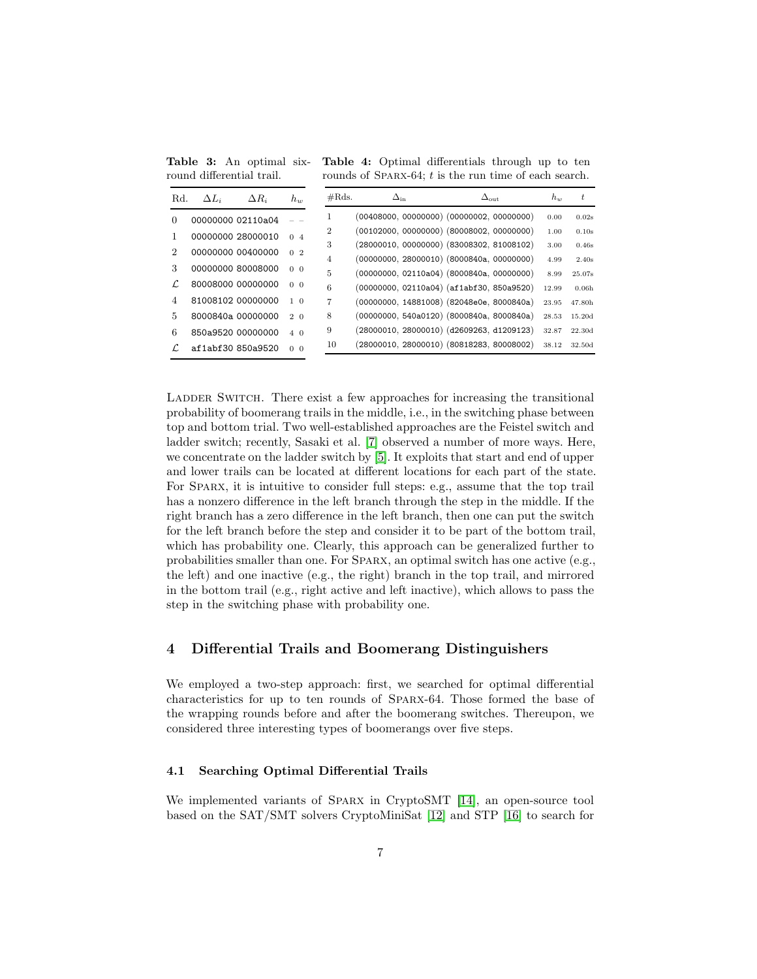<span id="page-6-1"></span>Table 3: An optimal sixround differential trail.

Table 4: Optimal differentials through up to ten rounds of SPARX-64;  $t$  is the run time of each search.

| Rd.                         | $\Delta L_i$      | $\Delta R_i$ | $h_w$                     | $\#\text{Rds}.$ | $\Delta_{\rm in}$ | $\Delta_{\text{out}}$                         | $h_w$ | t.                |
|-----------------------------|-------------------|--------------|---------------------------|-----------------|-------------------|-----------------------------------------------|-------|-------------------|
| 0                           | 00000000 02110a04 |              |                           |                 |                   | (00408000, 00000000) (00000002, 00000000)     | 0.00  | 0.02s             |
|                             | 00000000 28000010 |              | 04                        | 2               |                   | $(00102000, 00000000)$ $(80008002, 00000000)$ | 1.00  | 0.10s             |
|                             |                   |              |                           | 3               |                   | $(28000010, 00000000)$ $(83008302, 81008102)$ | 3.00  | 0.46s             |
| $\mathcal{D}_{\mathcal{L}}$ | 00000000 00400000 |              | $\mathcal{D}$<br>$\Omega$ | $\overline{4}$  |                   | (00000000, 28000010) (8000840a, 00000000)     | 4.99  | 2.40s             |
| 3                           | 00000000 80008000 |              | 0 <sub>0</sub>            | 5               |                   | $(00000000, 02110a04)$ $(8000840a, 00000000)$ | 8.99  | 25.07s            |
|                             | 80008000 00000000 |              | 0 <sub>0</sub>            | 6               |                   | (00000000, 02110a04) (af1abf30, 850a9520)     | 12.99 | 0.06 <sub>h</sub> |
| 4                           | 81008102 00000000 |              | $1\quad \Omega$           | 7               |                   | (00000000, 14881008) (82048e0e, 8000840a)     | 23.95 | 47.80h            |
| 5.                          | 8000840a 00000000 |              | $2\Omega$                 | 8               |                   | (00000000, 540a0120) (8000840a, 8000840a)     | 28.53 | 15.20d            |
| 6                           | 850a9520 00000000 |              | $4\quadOmega$             | 9               |                   | $(28000010, 28000010)$ $(d2609263, d1209123)$ | 32.87 | 22.30d            |
|                             | af1abf30850a9520  |              | $\Omega$<br>$\Omega$      | 10              |                   | $(28000010, 28000010)$ $(80818283, 80008002)$ | 38.12 | 32.50d            |

LADDER SWITCH. There exist a few approaches for increasing the transitional probability of boomerang trails in the middle, i.e., in the switching phase between top and bottom trial. Two well-established approaches are the Feistel switch and ladder switch; recently, Sasaki et al. [7] observed a number of more ways. Here, we concentrate on the ladder switch by [\[5\]](#page-16-2). It exploits that start and end of upper and lower trails can be located at different locations for each part of the state. For SPARX, it is intuitive to consider full steps: e.g., assume that the top trail has a nonzero difference in the left branch through the step in the middle. If the right branch has a zero difference in the left branch, then one can put the switch for the left branch before the step and consider it to be part of the bottom trail, which has probability one. Clearly, this approach can be generalized further to probabilities smaller than one. For Sparx, an optimal switch has one active (e.g., the left) and one inactive (e.g., the right) branch in the top trail, and mirrored in the bottom trail (e.g., right active and left inactive), which allows to pass the step in the switching phase with probability one.

# <span id="page-6-0"></span>4 Differential Trails and Boomerang Distinguishers

We employed a two-step approach: first, we searched for optimal differential characteristics for up to ten rounds of Sparx-64. Those formed the base of the wrapping rounds before and after the boomerang switches. Thereupon, we considered three interesting types of boomerangs over five steps.

### 4.1 Searching Optimal Differential Trails

We implemented variants of Sparx in CryptoSMT [\[14\]](#page-17-2), an open-source tool based on the SAT/SMT solvers CryptoMiniSat [\[12\]](#page-17-3) and STP [\[16\]](#page-17-4) to search for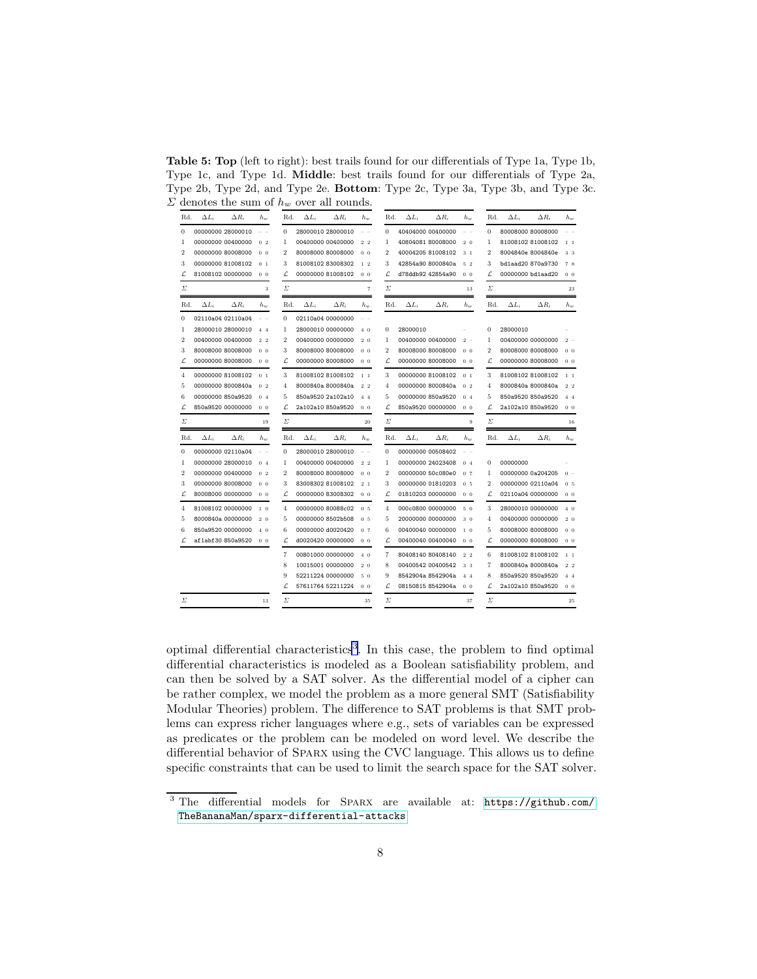<span id="page-7-1"></span>Table 5: Top (left to right): best trails found for our differentials of Type 1a, Type 1b, Type 1c, and Type 1d. Middle: best trails found for our differentials of Type 2a, Type 2b, Type 2d, and Type 2e. Bottom: Type 2c, Type 3a, Type 3b, and Type 3c.  $\Sigma$  denotes the sum of  $h_w$  over all rounds.

| Rd.            | $\Delta L_i$ | $\Delta R_i$      | $h_{w}$        | Rd.            | $\Delta L_i$ | $\Delta R_i$      | $h_w$          | Rd.            | $\Delta L_i$ | $\Delta R_i$      | $h_{w}$        | Rd.            | $\Delta L_i$ | $\Delta R_i$      | $h_w$          |
|----------------|--------------|-------------------|----------------|----------------|--------------|-------------------|----------------|----------------|--------------|-------------------|----------------|----------------|--------------|-------------------|----------------|
| $\theta$       |              | 00000000 28000010 | $ -$           | $\Omega$       |              | 28000010 28000010 | $ -$           | $\Omega$       |              | 40404000 00400000 | $ -$           | $\Omega$       |              | 80008000 80008000 |                |
| 1              |              | 00000000 00400000 | 0 <sub>2</sub> | $\mathbf{1}$   |              | 00400000 00400000 | 2 <sub>2</sub> | $\mathbf{1}$   |              | 40804081 80008000 | $2\quad0$      | $\mathbf{1}$   |              | 81008102 81008102 | $1\quad1$      |
| $\overline{2}$ |              | 00000000 80008000 | 0 <sub>0</sub> | $\overline{2}$ |              | 80008000 80008000 | 0 <sub>0</sub> | $\overline{2}$ |              | 40004205 81008102 | 3 <sub>1</sub> | $\overline{2}$ |              | 8004840e 8004840e | 3 3            |
| 3              |              | 00000000 81008102 | $0-1$          | 3              |              | 81008102 83008302 | 12             | 3              |              | 42854a90 8000840a | 52             | 3              |              | bd1aad20 870a9730 | 78             |
| L              |              | 81008102 00000000 | 0 <sub>0</sub> | L              |              | 00000000 81008102 | 0 <sub>0</sub> | L              |              | d78ddb92 42854a90 | 0 <sub>0</sub> | L              |              | 00000000 bd1aad20 | 0 <sub>0</sub> |
| Σ              |              |                   | 3              | Σ              |              |                   | $\overline{7}$ | Σ              |              |                   | 13             | Σ              |              |                   | 23             |
| Rd.            | $\Delta L_i$ | $\Delta R_i$      | $h_{w}$        | Rd.            | $\Delta L_i$ | $\Delta R_i$      | $h_w$          | Rd.            | $\Delta L_i$ | $\Delta R_i$      | $h_w$          | Rd.            | $\Delta L_i$ | $\Delta R_i$      | $h_{\nu}$      |
| $\mathbf{0}$   |              | 02110a04 02110a04 | $ -$           | $\Omega$       |              | 02110a04 00000000 |                |                |              |                   |                |                |              |                   |                |
| 1              |              | 28000010 28000010 | 44             | $\mathbf{1}$   |              | 28000010 00000000 | 4 <sub>0</sub> | $\Omega$       | 28000010     |                   |                | $\Omega$       | 28000010     |                   |                |
| $\overline{2}$ |              | 00400000 00400000 | 2 <sub>2</sub> | $\overline{2}$ |              | 00400000 00000000 | 2 <sub>0</sub> | $\mathbf{1}$   |              | 00400000 00400000 | $2 -$          | $\mathbf{1}$   |              | 00400000 00000000 | $2 -$          |
| 3              |              | 80008000 80008000 | 0 <sub>0</sub> | 3              |              | 80008000 80008000 | 0 <sub>0</sub> | $\mathfrak{D}$ |              | 80008000 80008000 | 0 <sub>0</sub> | $\overline{2}$ |              | 80008000 80008000 | 0 <sub>0</sub> |
| L              |              | 00000000 80008000 | 0 <sub>0</sub> | L              |              | 00000000 80008000 | 0 <sub>0</sub> | ſ.             |              | 00000000 80008000 | 0 <sub>0</sub> | Ľ              |              | 00000000 80008000 | 0 <sub>0</sub> |
| $\overline{4}$ |              | 00000000 81008102 | $0-1$          | 3              |              | 81008102 81008102 | 1 <sub>1</sub> | 3              |              | 00000000 81008102 | $0-1$          | 3              |              | 81008102 81008102 | 1 <sub>1</sub> |
| 5              |              | 00000000 8000840a | 0 <sub>2</sub> | $\overline{4}$ |              | 8000840a 8000840a | 2 <sub>2</sub> | $\overline{4}$ |              | 00000000 8000840a | 0 <sub>2</sub> | $\overline{4}$ |              | 8000840a 8000840a | 2 <sub>2</sub> |
| 6              |              | 00000000 850a9520 | 0 <sub>4</sub> | 5              |              | 850a9520 2a102a10 | 44             | 5              |              | 00000000 850a9520 | 0 <sub>4</sub> | 5              |              | 850a9520 850a9520 | 44             |
| L              |              | 850a9520 00000000 | 0 <sub>0</sub> | L              |              | 2a102a10 850a9520 | 0 <sub>0</sub> | L              |              | 850a9520 00000000 | 0 <sub>0</sub> | L              |              | 2a102a10 850a9520 | 0 <sub>0</sub> |
| Σ              |              |                   | 19             | Σ              |              |                   | 20             | Σ              |              |                   | 9              | Σ              |              |                   | 16             |
| Rd.            | $\Delta L_i$ | $\Delta R_i$      | $h_w$          | Rd.            | $\Delta L_i$ | $\Delta R_i$      | $h_w$          | Rd.            | $\Delta L_i$ | $\Delta R_i$      | $h_w$          | Rd.            | $\Delta L_i$ | $\Delta R_i$      | $h_w$          |
| $\mathbf{0}$   |              | 00000000 02110a04 | - -            | $\theta$       |              | 28000010 28000010 | - -            | $\Omega$       |              | 00000000 00508402 | - -            |                |              |                   |                |
| 1              |              | 00000000 28000010 | 0 <sub>4</sub> | 1              |              | 00400000 00400000 | 2 <sub>2</sub> | 1              |              | 00000000 24023408 | 0 <sub>4</sub> | $\bf{0}$       | 00000000     |                   |                |
| $\overline{2}$ |              | 00000000 00400000 | 0 <sub>2</sub> | $\overline{2}$ |              | 80008000 80008000 | 0 <sub>0</sub> | $\overline{2}$ |              | 00000000 50c080e0 | 0.7            | $\mathbf{1}$   |              | 00000000 0a204205 | $0 -$          |
| 3              |              | 00000000 80008000 | 0 <sub>0</sub> | 3              |              | 83008302 81008102 | 2.1            | 3              |              | 00000000 01810203 | 0 <sub>5</sub> | $\overline{2}$ |              | 00000000 02110a04 | 0 <sub>5</sub> |
| L              |              | 80008000 00000000 | 0 <sub>0</sub> | L              |              | 00000000 83008302 | 0 <sub>0</sub> | L              |              | 01810203 00000000 | 0 <sub>0</sub> | L              |              | 02110a04 00000000 | 0 <sub>0</sub> |
| $\overline{4}$ |              | 81008102 00000000 | $1\quad$ 0     | $\overline{4}$ |              | 00000000 80088c02 | 0.5            | $\overline{4}$ |              | 000c0800 00000000 | 5 0            | 3              |              | 28000010 00000000 | $4\quad$       |
| 5              |              | 8000840a 00000000 | 2.0            | 5              |              | 00000000 8502b508 | 0.5            | 5              |              | 20000000 00000000 | 3 <sub>0</sub> | $\overline{4}$ |              | 00400000 00000000 | $2\quad0$      |
| 6              |              | 850a9520 00000000 | $4\Omega$      | 6              |              | 00000000 d0020420 | 0.7            | 6              |              | 00400040 00000000 | 1 <sub>0</sub> | 5              |              | 80008000 80008000 | 0 <sub>0</sub> |
| L              |              | af1abf30850a9520  | 0 <sub>0</sub> | L              |              | d0020420 00000000 | 0 <sub>0</sub> | L              |              | 00400040 00400040 | 0 <sub>0</sub> | L              |              | 00000000 80008000 | 0 <sub>0</sub> |
|                |              |                   |                | $\overline{7}$ |              | 00801000 00000000 | 40             | 7              |              | 80408140 80408140 | $2\,2$         | 6              |              | 81008102 81008102 | 1 <sub>1</sub> |
|                |              |                   |                | 8              |              | 10015001 00000000 | 2.0            | 8              |              | 00400542 00400542 | 3 3            | $\overline{7}$ |              | 8000840a 8000840a | 2.2            |
|                |              |                   |                | 9              |              | 52211224 00000000 | 5 0            | 9              |              | 8542904a 8542904a | $4\quad4$      | 8              |              | 850a9520 850a9520 | 44             |
|                |              |                   |                | L              |              | 57611764 52211224 | 0 <sub>0</sub> | Ľ              |              | 08150815 8542904a | 0 <sub>0</sub> | Ľ              |              | 2a102a10 850a9520 | 0 <sub>0</sub> |
| Σ              |              |                   | 13             | Σ              |              |                   | 35             | Σ              |              |                   | 37             | Σ              |              |                   | 25             |

optimal differential characteristics<sup>[3](#page-7-0)</sup>. In this case, the problem to find optimal differential characteristics is modeled as a Boolean satisfiability problem, and can then be solved by a SAT solver. As the differential model of a cipher can be rather complex, we model the problem as a more general SMT (Satisfiability Modular Theories) problem. The difference to SAT problems is that SMT problems can express richer languages where e.g., sets of variables can be expressed as predicates or the problem can be modeled on word level. We describe the differential behavior of Sparx using the CVC language. This allows us to define specific constraints that can be used to limit the search space for the SAT solver.

<span id="page-7-0"></span><sup>3</sup> The differential models for Sparx are available at: [https://github.com/](https://github.com/TheBananaMan/sparx-differential-attacks) [TheBananaMan/sparx-differential-attacks](https://github.com/TheBananaMan/sparx-differential-attacks)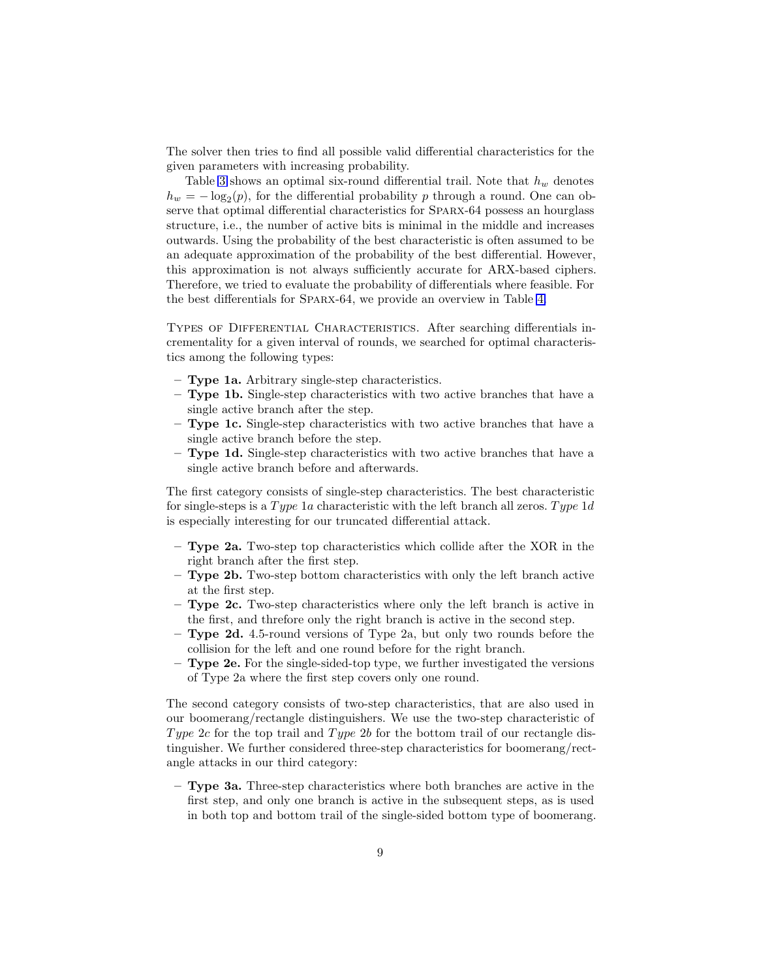The solver then tries to find all possible valid differential characteristics for the given parameters with increasing probability.

Table [3](#page-6-1) shows an optimal six-round differential trail. Note that  $h_w$  denotes  $h_w = -\log_2(p)$ , for the differential probability p through a round. One can observe that optimal differential characteristics for Sparx-64 possess an hourglass structure, i.e., the number of active bits is minimal in the middle and increases outwards. Using the probability of the best characteristic is often assumed to be an adequate approximation of the probability of the best differential. However, this approximation is not always sufficiently accurate for ARX-based ciphers. Therefore, we tried to evaluate the probability of differentials where feasible. For the best differentials for Sparx-64, we provide an overview in Table [4.](#page-6-1)

Types of Differential Characteristics. After searching differentials incrementality for a given interval of rounds, we searched for optimal characteristics among the following types:

- Type 1a. Arbitrary single-step characteristics.
- Type 1b. Single-step characteristics with two active branches that have a single active branch after the step.
- $-$  Type 1c. Single-step characteristics with two active branches that have a single active branch before the step.
- **Type 1d.** Single-step characteristics with two active branches that have a single active branch before and afterwards.

The first category consists of single-step characteristics. The best characteristic for single-steps is a Type 1a characteristic with the left branch all zeros. Type 1d is especially interesting for our truncated differential attack.

- $-$  Type 2a. Two-step top characteristics which collide after the XOR in the right branch after the first step.
- Type 2b. Two-step bottom characteristics with only the left branch active at the first step.
- Type 2c. Two-step characteristics where only the left branch is active in the first, and threfore only the right branch is active in the second step.
- Type 2d. 4.5-round versions of Type 2a, but only two rounds before the collision for the left and one round before for the right branch.
- $-$  Type 2e. For the single-sided-top type, we further investigated the versions of Type 2a where the first step covers only one round.

The second category consists of two-step characteristics, that are also used in our boomerang/rectangle distinguishers. We use the two-step characteristic of Type 2c for the top trail and Type 2b for the bottom trail of our rectangle distinguisher. We further considered three-step characteristics for boomerang/rectangle attacks in our third category:

– Type 3a. Three-step characteristics where both branches are active in the first step, and only one branch is active in the subsequent steps, as is used in both top and bottom trail of the single-sided bottom type of boomerang.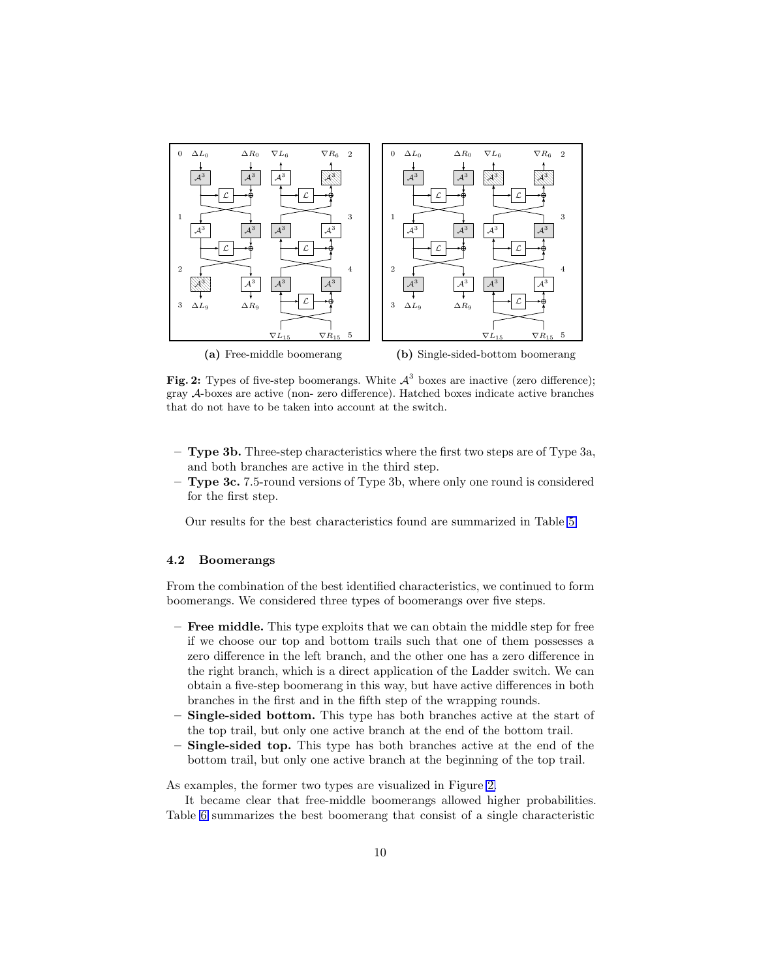<span id="page-9-0"></span>

Fig. 2: Types of five-step boomerangs. White  $\mathcal{A}^3$  boxes are inactive (zero difference); gray A-boxes are active (non- zero difference). Hatched boxes indicate active branches that do not have to be taken into account at the switch.

- Type 3b. Three-step characteristics where the first two steps are of Type 3a, and both branches are active in the third step.
- Type 3c. 7.5-round versions of Type 3b, where only one round is considered for the first step.

Our results for the best characteristics found are summarized in Table [5.](#page-7-1)

#### 4.2 Boomerangs

From the combination of the best identified characteristics, we continued to form boomerangs. We considered three types of boomerangs over five steps.

- Free middle. This type exploits that we can obtain the middle step for free if we choose our top and bottom trails such that one of them possesses a zero difference in the left branch, and the other one has a zero difference in the right branch, which is a direct application of the Ladder switch. We can obtain a five-step boomerang in this way, but have active differences in both branches in the first and in the fifth step of the wrapping rounds.
- **Single-sided bottom.** This type has both branches active at the start of the top trail, but only one active branch at the end of the bottom trail.
- Single-sided top. This type has both branches active at the end of the bottom trail, but only one active branch at the beginning of the top trail.

As examples, the former two types are visualized in Figure [2.](#page-9-0)

It became clear that free-middle boomerangs allowed higher probabilities. Table [6](#page-11-0) summarizes the best boomerang that consist of a single characteristic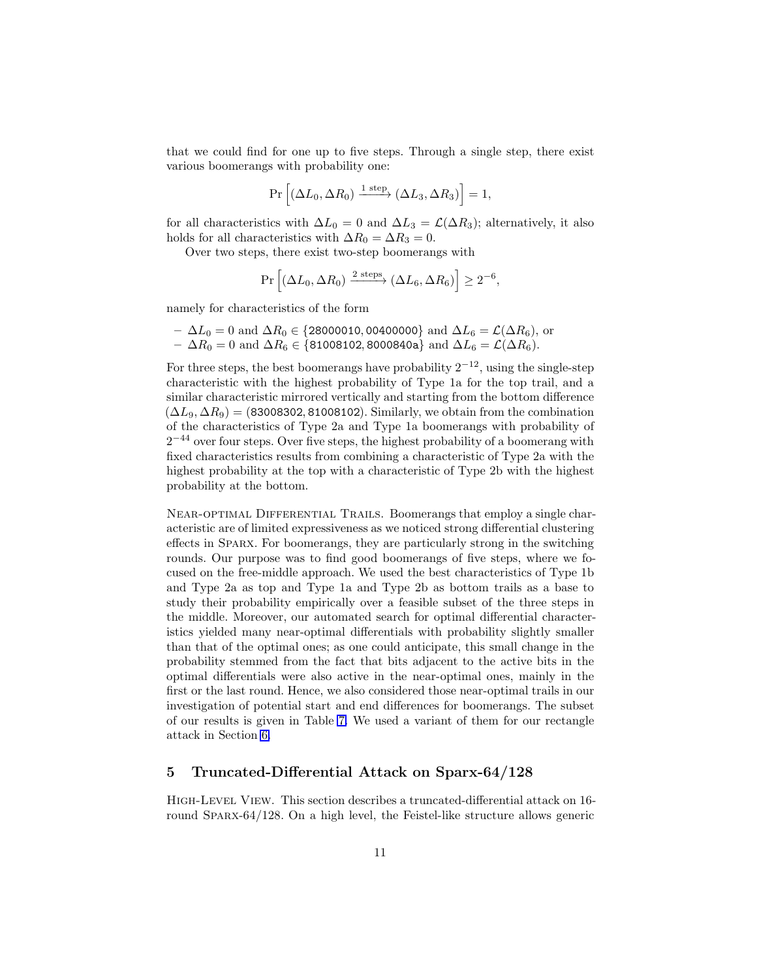that we could find for one up to five steps. Through a single step, there exist various boomerangs with probability one:

$$
Pr\left[\left(\Delta L_0, \Delta R_0\right) \xrightarrow{1 \text{ step}} \left(\Delta L_3, \Delta R_3\right)\right] = 1,
$$

for all characteristics with  $\Delta L_0 = 0$  and  $\Delta L_3 = \mathcal{L}(\Delta R_3)$ ; alternatively, it also holds for all characteristics with  $\Delta R_0 = \Delta R_3 = 0$ .

Over two steps, there exist two-step boomerangs with

$$
\Pr\left[ (\Delta L_0, \Delta R_0) \xrightarrow{2 \text{ steps}} (\Delta L_6, \Delta R_6) \right] \ge 2^{-6},
$$

namely for characteristics of the form

 $- \Delta L_0 = 0$  and  $\Delta R_0 \in \{28000010, 00400000\}$  and  $\Delta L_6 = \mathcal{L}(\Delta R_6)$ , or –  $\Delta R_0 = 0$  and  $\Delta R_6 \in \{$ 81008102, 8000840a} and  $\Delta L_6 = \mathcal{L}(\Delta R_6)$ .

For three steps, the best boomerangs have probability  $2^{-12}$ , using the single-step characteristic with the highest probability of Type 1a for the top trail, and a similar characteristic mirrored vertically and starting from the bottom difference  $(\Delta L_9, \Delta R_9)$  = (83008302, 81008102). Similarly, we obtain from the combination of the characteristics of Type 2a and Type 1a boomerangs with probability of 2<sup>-44</sup> over four steps. Over five steps, the highest probability of a boomerang with fixed characteristics results from combining a characteristic of Type 2a with the highest probability at the top with a characteristic of Type 2b with the highest probability at the bottom.

Near-optimal Differential Trails. Boomerangs that employ a single characteristic are of limited expressiveness as we noticed strong differential clustering effects in Sparx. For boomerangs, they are particularly strong in the switching rounds. Our purpose was to find good boomerangs of five steps, where we focused on the free-middle approach. We used the best characteristics of Type 1b and Type 2a as top and Type 1a and Type 2b as bottom trails as a base to study their probability empirically over a feasible subset of the three steps in the middle. Moreover, our automated search for optimal differential characteristics yielded many near-optimal differentials with probability slightly smaller than that of the optimal ones; as one could anticipate, this small change in the probability stemmed from the fact that bits adjacent to the active bits in the optimal differentials were also active in the near-optimal ones, mainly in the first or the last round. Hence, we also considered those near-optimal trails in our investigation of potential start and end differences for boomerangs. The subset of our results is given in Table [7.](#page-11-1) We used a variant of them for our rectangle attack in Section [6.](#page-13-0)

# <span id="page-10-0"></span>5 Truncated-Differential Attack on Sparx-64/128

High-Level View. This section describes a truncated-differential attack on 16 round Sparx-64/128. On a high level, the Feistel-like structure allows generic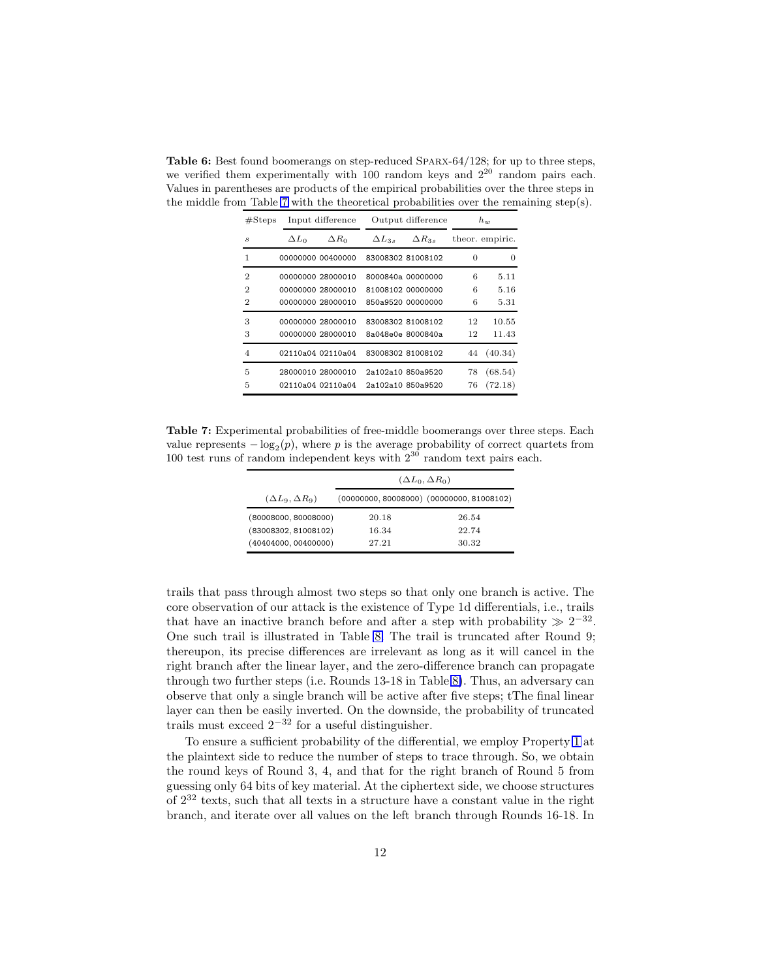<span id="page-11-0"></span>Table 6: Best found boomerangs on step-reduced SPARX-64/128; for up to three steps, we verified them experimentally with  $100$  random keys and  $2^{20}$  random pairs each. Values in parentheses are products of the empirical probabilities over the three steps in the middle from Table [7](#page-11-1) with the theoretical probabilities over the remaining step(s).

| #Steps         |              | Input difference  | Output difference |                   |    | $h_w$           |  |
|----------------|--------------|-------------------|-------------------|-------------------|----|-----------------|--|
| S              | $\Delta L_0$ | $\Delta R_0$      | $\Delta L_{3s}$   | $\Delta R_{3s}$   |    | theor. empiric. |  |
| 1              |              | 00000000 00400000 |                   | 83008302 81008102 | 0  | $\Omega$        |  |
| $\overline{2}$ |              | 00000000 28000010 |                   | 8000840a 00000000 | 6  | 5.11            |  |
| $\overline{2}$ |              | 00000000 28000010 |                   | 81008102 00000000 | 6  | 5.16            |  |
| $\overline{2}$ |              | 00000000 28000010 |                   | 850a9520 00000000 | 6  | 5.31            |  |
| 3              |              | 00000000 28000010 |                   | 83008302 81008102 | 12 | 10.55           |  |
| 3              |              | 00000000 28000010 |                   | 8a048e0e 8000840a | 12 | 11.43           |  |
| $\overline{4}$ |              | 02110a04 02110a04 |                   | 83008302 81008102 | 44 | (40.34)         |  |
| 5              |              | 28000010 28000010 |                   | 2a102a10 850a9520 | 78 | (68.54)         |  |
| 5              |              | 02110a04 02110a04 |                   | 2a102a10 850a9520 | 76 | (72.18)         |  |

<span id="page-11-1"></span>Table 7: Experimental probabilities of free-middle boomerangs over three steps. Each value represents  $-\log_2(p)$ , where p is the average probability of correct quartets from 100 test runs of random independent keys with  $2^{30}$  random text pairs each.

|                            | $(\Delta L_0, \Delta R_0)$ |                                               |  |  |  |  |  |  |
|----------------------------|----------------------------|-----------------------------------------------|--|--|--|--|--|--|
| $(\Delta L_9, \Delta R_9)$ |                            | $(00000000, 80008000)$ $(00000000, 81008102)$ |  |  |  |  |  |  |
| (80008000, 80008000)       | 20.18                      | 26.54                                         |  |  |  |  |  |  |
| (83008302, 81008102)       | 16.34                      | 22.74                                         |  |  |  |  |  |  |
| (40404000, 00400000)       | 27.21                      | 30.32                                         |  |  |  |  |  |  |

trails that pass through almost two steps so that only one branch is active. The core observation of our attack is the existence of Type 1d differentials, i.e., trails that have an inactive branch before and after a step with probability  $\gg 2^{-32}$ . One such trail is illustrated in Table [8.](#page-12-0) The trail is truncated after Round 9; thereupon, its precise differences are irrelevant as long as it will cancel in the right branch after the linear layer, and the zero-difference branch can propagate through two further steps (i.e. Rounds 13-18 in Table [8\)](#page-12-0). Thus, an adversary can observe that only a single branch will be active after five steps; tThe final linear layer can then be easily inverted. On the downside, the probability of truncated trails must exceed  $2^{-32}$  for a useful distinguisher.

To ensure a sufficient probability of the differential, we employ Property [1](#page-4-3) at the plaintext side to reduce the number of steps to trace through. So, we obtain the round keys of Round 3, 4, and that for the right branch of Round 5 from guessing only 64 bits of key material. At the ciphertext side, we choose structures of  $2^{32}$  texts, such that all texts in a structure have a constant value in the right branch, and iterate over all values on the left branch through Rounds 16-18. In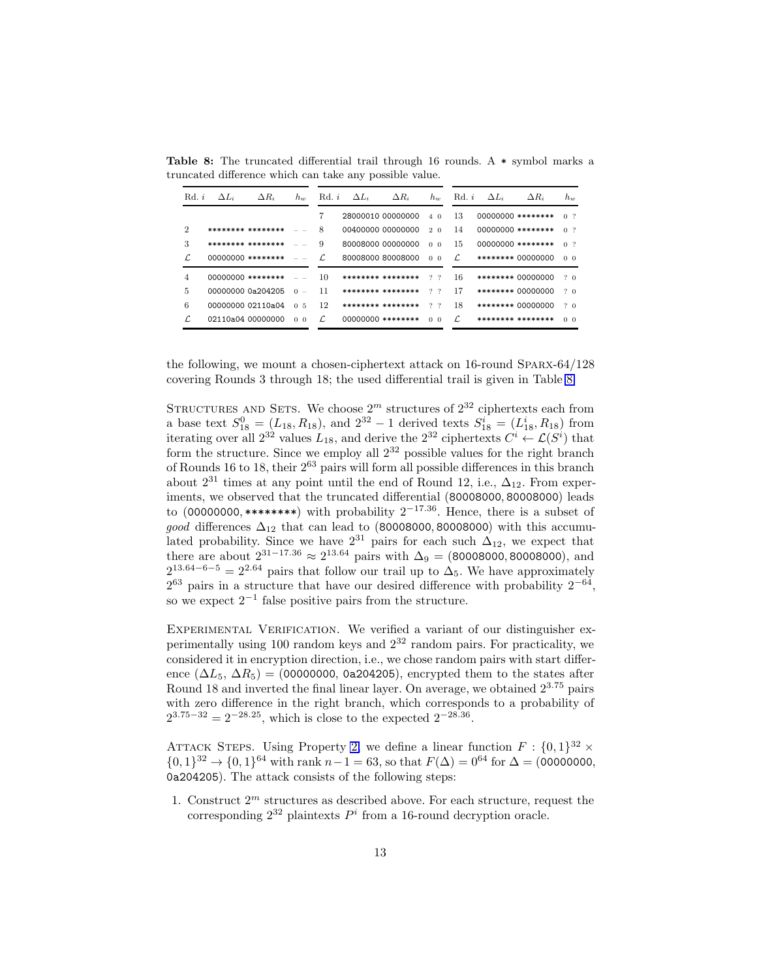| Rd, i                       | $\Delta L_i$      | $\Delta R_i$      | $h_{w}$                    | Rd, i | $\Delta L_i$ | $\Delta R_i$        | $h_w$          | Rd. i | $\Delta L_i$ | $\Delta R_i$      | $h_w$          |
|-----------------------------|-------------------|-------------------|----------------------------|-------|--------------|---------------------|----------------|-------|--------------|-------------------|----------------|
|                             |                   |                   |                            | 7     |              | 28000010 00000000   | $4\Omega$      | 13    |              | 00000000 ******** | 0 <sup>2</sup> |
| $\mathcal{D}_{\mathcal{L}}$ | ******** ******** |                   |                            | 8     |              | 00400000 00000000   | 2 <sub>0</sub> | 14    |              | 00000000 ******** | 0 <sup>2</sup> |
| 3                           |                   | ******** ******** |                            | 9     |              | 80008000 00000000   | 0 <sub>0</sub> | 15    |              | 00000000 ******** | 0 <sup>2</sup> |
| ſ.                          |                   | 00000000 ******** |                            | L.    |              | 80008000 80008000   | 0 <sub>0</sub> | L.    |              | ******** 00000000 | 0 <sub>0</sub> |
| 4                           | 00000000 ******** |                   |                            | 10    |              | ******** ********   | 2.2            | 16    |              | ******** 00000000 | 20             |
| 5                           | 00000000 0a204205 |                   | $\Omega$<br>$\sim$         | 11    |              | ******** ********   | 2, 2           | 17    |              | ******** 00000000 | 20             |
| 6                           | 00000000 02110a04 |                   | $\overline{5}$<br>$\Omega$ | 12    |              | ******** ********   | 2, 2           | 18    |              | ******** 00000000 | 20             |
| L.                          | 02110a04 00000000 |                   | 0 <sub>0</sub>             | L.    |              | $00000000$ ******** | 0 <sub>0</sub> | L.    |              | ******** ******** | 0 <sub>0</sub> |

<span id="page-12-0"></span>Table 8: The truncated differential trail through 16 rounds. A  $*$  symbol marks a truncated difference which can take any possible value.

the following, we mount a chosen-ciphertext attack on 16-round Sparx-64/128 covering Rounds 3 through 18; the used differential trail is given in Table [8.](#page-12-0)

STRUCTURES AND SETS. We choose  $2^m$  structures of  $2^{32}$  ciphertexts each from a base text  $S_{18}^0 = (L_{18}, R_{18})$ , and  $2^{32} - 1$  derived texts  $S_{18}^i = (L_{18}^i, R_{18})$  from iterating over all  $2^{32}$  values  $L_{18}$ , and derive the  $2^{32}$  ciphertexts  $C^i \leftarrow \mathcal{L}(S^i)$  that form the structure. Since we employ all  $2^{32}$  possible values for the right branch of Rounds 16 to 18, their  $2^{63}$  pairs will form all possible differences in this branch about  $2^{31}$  times at any point until the end of Round 12, i.e.,  $\Delta_{12}$ . From experiments, we observed that the truncated differential (80008000, 80008000) leads to (00000000, \*\*\*\*\*\*\*\*) with probability  $2^{-17.36}$ . Hence, there is a subset of good differences  $\Delta_{12}$  that can lead to (80008000, 80008000) with this accumulated probability. Since we have  $2^{31}$  pairs for each such  $\Delta_{12}$ , we expect that there are about  $2^{31-17.36} \approx 2^{13.64}$  pairs with  $\Delta_9 = (80008000, 80008000)$ , and  $2^{13.64-6-5} = 2^{2.64}$  pairs that follow our trail up to  $\Delta_5$ . We have approximately  $2^{63}$  pairs in a structure that have our desired difference with probability  $2^{-64}$ , so we expect 2<sup>−</sup><sup>1</sup> false positive pairs from the structure.

EXPERIMENTAL VERIFICATION. We verified a variant of our distinguisher experimentally using 100 random keys and  $2^{32}$  random pairs. For practicality, we considered it in encryption direction, i.e., we chose random pairs with start difference  $(\Delta L_5, \Delta R_5)$  = (00000000, 0a204205), encrypted them to the states after Round 18 and inverted the final linear layer. On average, we obtained 2<sup>3</sup>.<sup>75</sup> pairs with zero difference in the right branch, which corresponds to a probability of  $2^{3.75-32} = 2^{-28.25}$ , which is close to the expected  $2^{-28.36}$ .

ATTACK STEPS. Using Property [2,](#page-4-2) we define a linear function  $F: \{0,1\}^{32} \times$  $\{0,1\}^{32} \rightarrow \{0,1\}^{64}$  with rank  $n-1 = 63$ , so that  $F(\Delta) = 0^{64}$  for  $\Delta = (00000000,$ 0a204205). The attack consists of the following steps:

<span id="page-12-1"></span>1. Construct  $2^m$  structures as described above. For each structure, request the corresponding  $2^{32}$  plaintexts  $P<sup>i</sup>$  from a 16-round decryption oracle.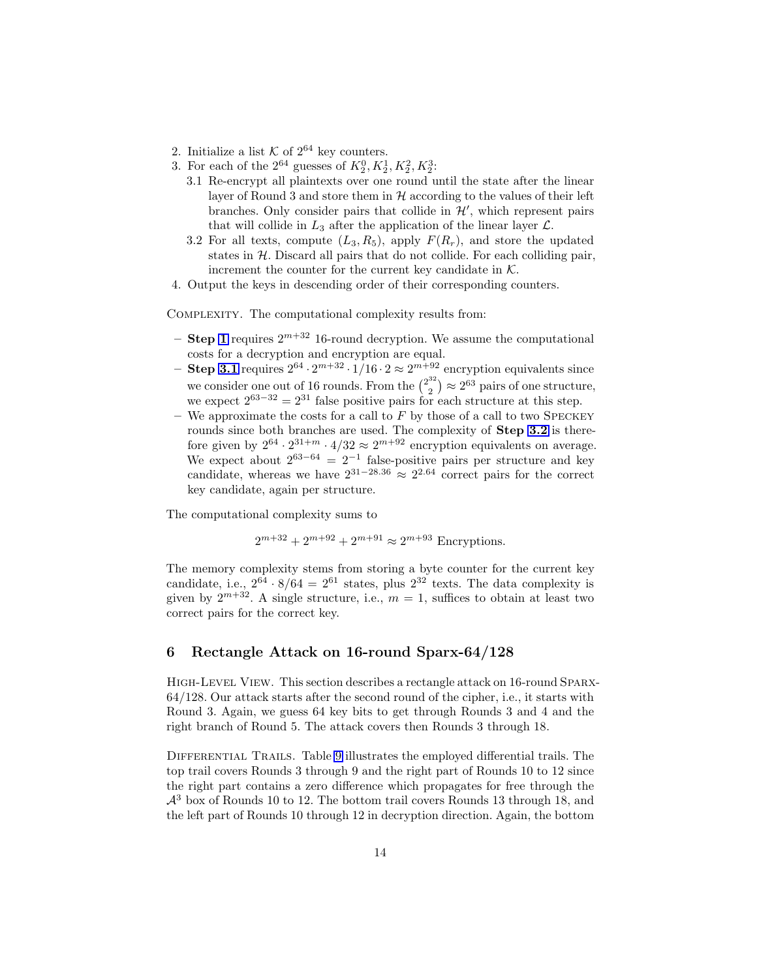- 2. Initialize a list  $K$  of  $2^{64}$  key counters.
- <span id="page-13-2"></span><span id="page-13-1"></span>3. For each of the  $2^{64}$  guesses of  $K_2^0, K_2^1, K_2^2, K_2^3$ :
	- 3.1 Re-encrypt all plaintexts over one round until the state after the linear layer of Round 3 and store them in  $H$  according to the values of their left branches. Only consider pairs that collide in  $\mathcal{H}'$ , which represent pairs that will collide in  $L_3$  after the application of the linear layer  $\mathcal{L}$ .
	- 3.2 For all texts, compute  $(L_3, R_5)$ , apply  $F(R_r)$ , and store the updated states in  $H$ . Discard all pairs that do not collide. For each colliding pair, increment the counter for the current key candidate in  $K$ .
- 4. Output the keys in descending order of their corresponding counters.

Complexity. The computational complexity results from:

- Step [1](#page-12-1) requires  $2^{m+32}$  16-round decryption. We assume the computational costs for a decryption and encryption are equal.
- Step [3.1](#page-13-1) requires  $2^{64} \cdot 2^{m+32} \cdot 1/16 \cdot 2 \approx 2^{m+92}$  encryption equivalents since we consider one out of 16 rounds. From the  $\binom{2^{32}}{2}$  $\binom{32}{2} \approx 2^{63}$  pairs of one structure, we expect  $2^{63-32} = 2^{31}$  false positive pairs for each structure at this step.
- We approximate the costs for a call to  $F$  by those of a call to two SPECKEY rounds since both branches are used. The complexity of **Step [3.2](#page-13-2)** is therefore given by  $2^{64} \cdot 2^{31+m} \cdot 4/32 \approx 2^{m+92}$  encryption equivalents on average. We expect about  $2^{63-64} = 2^{-1}$  false-positive pairs per structure and key candidate, whereas we have  $2^{31-28.36} \approx 2^{2.64}$  correct pairs for the correct key candidate, again per structure.

The computational complexity sums to

$$
2^{m+32} + 2^{m+92} + 2^{m+91} \approx 2^{m+93}
$$
 Encryption.

The memory complexity stems from storing a byte counter for the current key candidate, i.e.,  $2^{64} \cdot 8/64 = 2^{61}$  states, plus  $2^{32}$  texts. The data complexity is given by  $2^{m+32}$ . A single structure, i.e.,  $m=1$ , suffices to obtain at least two correct pairs for the correct key.

### <span id="page-13-0"></span>6 Rectangle Attack on 16-round Sparx-64/128

High-Level View. This section describes a rectangle attack on 16-round Sparx-64/128. Our attack starts after the second round of the cipher, i.e., it starts with Round 3. Again, we guess 64 key bits to get through Rounds 3 and 4 and the right branch of Round 5. The attack covers then Rounds 3 through 18.

Differential Trails. Table [9](#page-14-0) illustrates the employed differential trails. The top trail covers Rounds 3 through 9 and the right part of Rounds 10 to 12 since the right part contains a zero difference which propagates for free through the  $\mathcal{A}^3$  box of Rounds 10 to 12. The bottom trail covers Rounds 13 through 18, and the left part of Rounds 10 through 12 in decryption direction. Again, the bottom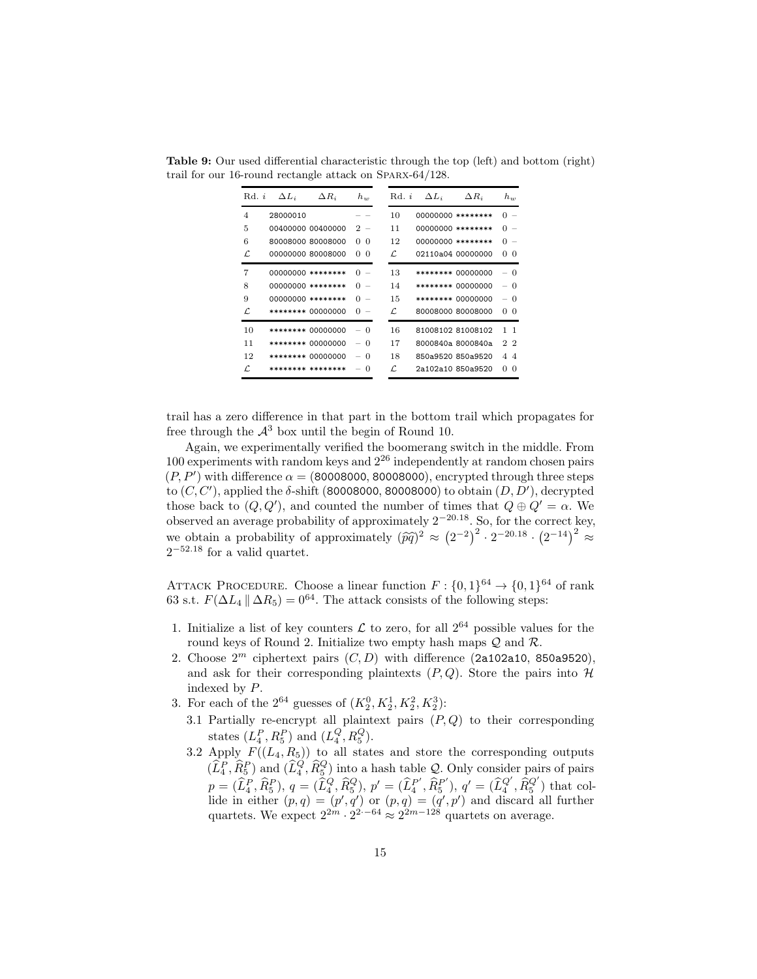| Rd. i          | $\Delta L_i$ | $\Delta R_i$      | $h_w$         | Rd. i | $\Delta L_i$ | $\Delta R_i$      | $h_w$                                |
|----------------|--------------|-------------------|---------------|-------|--------------|-------------------|--------------------------------------|
| $\overline{4}$ | 28000010     |                   |               | 10    |              | 00000000 ******** | $\Omega$                             |
| 5              |              | 00400000 00400000 | 2<br>$\sim$   | 11    |              | 00000000 ******** | 0<br>$\overline{\phantom{a}}$        |
| 6              |              | 80008000 80008000 | $\Omega$<br>0 | 12    |              | 00000000 ******** | 0<br>$\overline{\phantom{a}}$        |
| L              |              | 00000000 80008000 | $\Omega$<br>0 | L.    |              | 02110a04 00000000 | $\Omega$<br>0                        |
| 7              |              | 00000000 ******** | O             | 13    |              | ******** 00000000 | $-0$                                 |
| 8              |              | 00000000 ******** | O             | 14    |              | ******** 00000000 | $\Omega$<br>$\overline{\phantom{a}}$ |
| 9              |              | 00000000 ******** | O             | 15    |              | ******** 00000000 | $-0$                                 |
| L.             |              | ******** 00000000 | $\Omega$      | L.    |              | 80008000 80008000 | $\Omega$<br>0                        |
| 10             |              | ******** 00000000 | $\Omega$      | 16    |              | 81008102 81008102 | $1 \quad 1$                          |
| 11             |              | ******** 00000000 | $\Omega$      | 17    |              | 8000840a 8000840a | 22                                   |
| 12             |              | ******** 00000000 | $\Omega$      | 18    |              | 850a9520 850a9520 | 44                                   |
| L.             |              | ******** ******** | $\Omega$      | L.    |              | 2a102a10 850a9520 | 0<br>$\Omega$                        |

<span id="page-14-0"></span>Table 9: Our used differential characteristic through the top (left) and bottom (right) trail for our 16-round rectangle attack on Sparx-64/128.

trail has a zero difference in that part in the bottom trail which propagates for free through the  $\mathcal{A}^3$  box until the begin of Round 10.

Again, we experimentally verified the boomerang switch in the middle. From 100 experiments with random keys and  $2^{26}$  independently at random chosen pairs  $(P, P')$  with difference  $\alpha = (80008000, 80008000)$ , encrypted through three steps to  $(C, C')$ , applied the  $\delta$ -shift (80008000, 80008000) to obtain  $(D, D')$ , decrypted those back to  $(Q, Q')$ , and counted the number of times that  $Q \oplus Q' = \alpha$ . We observed an average probability of approximately 2<sup>−</sup>20.<sup>18</sup>. So, for the correct key, we obtain a probability of approximately  $(\widehat{pq})^2 \approx (2^{-2})^2 \cdot 2^{-20.18} \cdot (2^{-14})^2 \approx$  $2^{-52.18}$  for a valid quartet.

ATTACK PROCEDURE. Choose a linear function  $F: \{0,1\}^{64} \to \{0,1\}^{64}$  of rank 63 s.t.  $F(\Delta L_4 \|\Delta R_5) = 0^{64}$ . The attack consists of the following steps:

- 1. Initialize a list of key counters  $\mathcal L$  to zero, for all  $2^{64}$  possible values for the round keys of Round 2. Initialize two empty hash maps  $Q$  and  $R$ .
- <span id="page-14-1"></span>2. Choose  $2^m$  ciphertext pairs  $(C, D)$  with difference (2a102a10, 850a9520), and ask for their corresponding plaintexts  $(P, Q)$ . Store the pairs into  $H$ indexed by P.
- <span id="page-14-3"></span><span id="page-14-2"></span>3. For each of the  $2^{64}$  guesses of  $(K_2^0, K_2^1, K_2^2, K_2^3)$ :
	- 3.1 Partially re-encrypt all plaintext pairs  $(P, Q)$  to their corresponding states  $(L_4^P, R_5^P)$  and  $(L_4^Q, R_5^Q)$ .
	- 3.2 Apply  $F((L_4, R_5))$  to all states and store the corresponding outputs  $(\widehat{L}_4^P, \widehat{R}_5^P)$  and  $(\widehat{L}_4^Q, \widehat{R}_5^Q)$  into a hash table Q. Only consider pairs of pairs  $p=(\widehat{L}^P_4, \widehat{R}^P_5),\, q=(\widehat{L}^Q_4, \widehat{R}^Q_5),\, p'=(\widehat{L}^{P'}_4)$  $_4^{P'}, \widehat{R}_5^{P'}$  ${}_{5}^{P'}$ ),  $q' = (\widehat{L}_{4}^{Q'}, \widehat{R}_{5}^{Q'})$  that collide in either  $(p, q) = (p', q')$  or  $(p, q) = (q', p')$  and discard all further quartets. We expect  $2^{2m} \cdot 2^{2-64} \approx 2^{2m-128}$  quartets on average.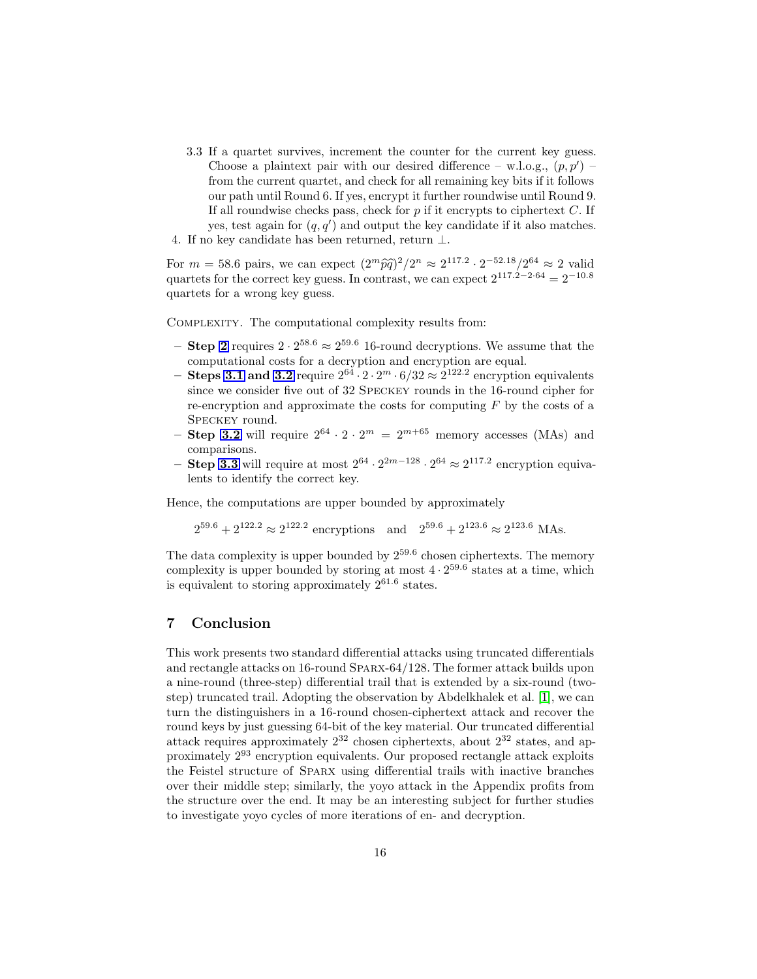<span id="page-15-1"></span>3.3 If a quartet survives, increment the counter for the current key guess. Choose a plaintext pair with our desired difference – w.l.o.g.,  $(p, p')$ from the current quartet, and check for all remaining key bits if it follows our path until Round 6. If yes, encrypt it further roundwise until Round 9. If all roundwise checks pass, check for  $p$  if it encrypts to ciphertext  $C$ . If yes, test again for  $(q, q')$  and output the key candidate if it also matches. 4. If no key candidate has been returned, return  $\perp$ .

For  $m = 58.6$  pairs, we can expect  $\left(2^m \hat{p}\hat{q}\right)^2 / 2^n \approx 2^{117.2} \cdot 2^{-52.18} / 2^{64} \approx 2$  valid quartets for the correct key guess. In contrast, we can expect  $2^{117.2-2.64} = 2^{-10.8}$ quartets for a wrong key guess.

Complexity. The computational complexity results from:

- Step [2](#page-14-1) requires  $2 \cdot 2^{58.6} \approx 2^{59.6}$  16-round decryptions. We assume that the computational costs for a decryption and encryption are equal.
- Steps [3.1](#page-14-2) and [3.2](#page-14-3) require  $2^{64} \cdot 2 \cdot 2^m \cdot 6/32 \approx 2^{122.2}$  encryption equivalents since we consider five out of 32 Speckey rounds in the 16-round cipher for re-encryption and approximate the costs for computing  $F$  by the costs of a Speckey round.
- Step [3.2](#page-14-3) will require  $2^{64} \cdot 2 \cdot 2^m = 2^{m+65}$  memory accesses (MAs) and comparisons.
- Step [3.3](#page-15-1) will require at most  $2^{64} \cdot 2^{2m-128} \cdot 2^{64} \approx 2^{117.2}$  encryption equivalents to identify the correct key.

Hence, the computations are upper bounded by approximately

 $2^{59.6} + 2^{122.2} \approx 2^{122.2}$  encryptions and  $2^{59.6} + 2^{123.6} \approx 2^{123.6}$  MAs.

The data complexity is upper bounded by  $2^{59.6}$  chosen ciphertexts. The memory complexity is upper bounded by storing at most  $4 \cdot 2^{59.6}$  states at a time, which is equivalent to storing approximately  $2^{61.6}$  states.

# <span id="page-15-0"></span>7 Conclusion

This work presents two standard differential attacks using truncated differentials and rectangle attacks on 16-round Sparx-64/128. The former attack builds upon a nine-round (three-step) differential trail that is extended by a six-round (twostep) truncated trail. Adopting the observation by Abdelkhalek et al. [1], we can turn the distinguishers in a 16-round chosen-ciphertext attack and recover the round keys by just guessing 64-bit of the key material. Our truncated differential attack requires approximately  $2^{32}$  chosen ciphertexts, about  $2^{32}$  states, and approximately 2<sup>93</sup> encryption equivalents. Our proposed rectangle attack exploits the Feistel structure of Sparx using differential trails with inactive branches over their middle step; similarly, the yoyo attack in the Appendix profits from the structure over the end. It may be an interesting subject for further studies to investigate yoyo cycles of more iterations of en- and decryption.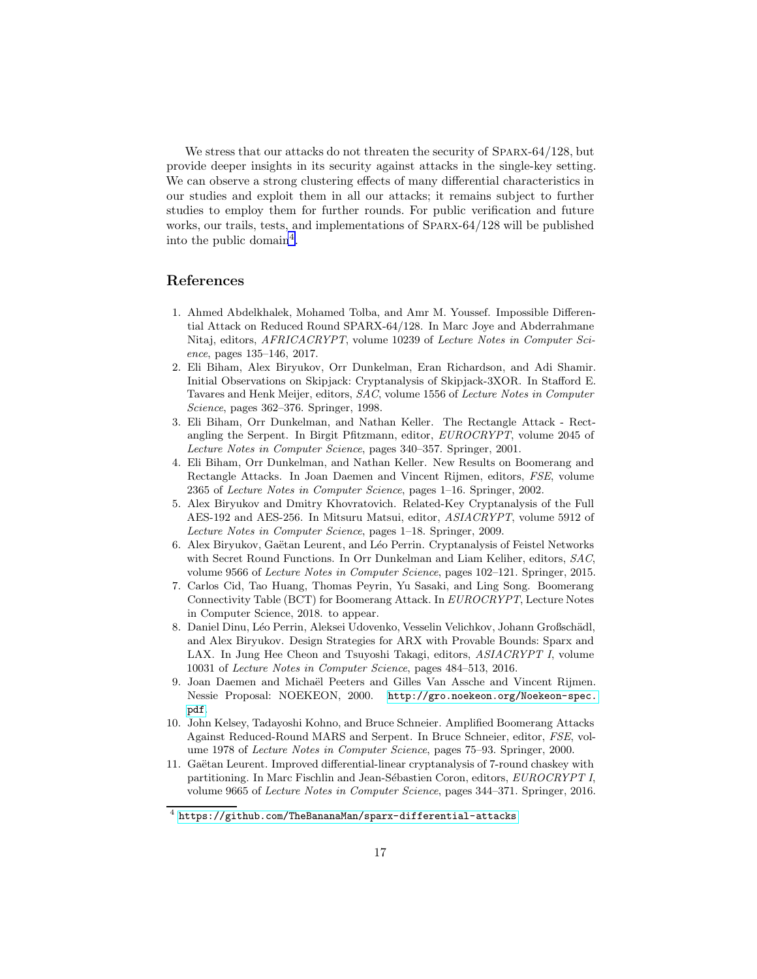We stress that our attacks do not threaten the security of SPARX-64/128, but provide deeper insights in its security against attacks in the single-key setting. We can observe a strong clustering effects of many differential characteristics in our studies and exploit them in all our attacks; it remains subject to further studies to employ them for further rounds. For public verification and future works, our trails, tests, and implementations of Sparx-64/128 will be published into the public domain<sup>[4](#page-16-3)</sup>.

### References

- 1. Ahmed Abdelkhalek, Mohamed Tolba, and Amr M. Youssef. Impossible Differential Attack on Reduced Round SPARX-64/128. In Marc Joye and Abderrahmane Nitaj, editors, AFRICACRYPT, volume 10239 of Lecture Notes in Computer Science, pages 135–146, 2017.
- 2. Eli Biham, Alex Biryukov, Orr Dunkelman, Eran Richardson, and Adi Shamir. Initial Observations on Skipjack: Cryptanalysis of Skipjack-3XOR. In Stafford E. Tavares and Henk Meijer, editors, SAC, volume 1556 of Lecture Notes in Computer Science, pages 362–376. Springer, 1998.
- 3. Eli Biham, Orr Dunkelman, and Nathan Keller. The Rectangle Attack Rectangling the Serpent. In Birgit Pfitzmann, editor, EUROCRYPT, volume 2045 of Lecture Notes in Computer Science, pages 340–357. Springer, 2001.
- 4. Eli Biham, Orr Dunkelman, and Nathan Keller. New Results on Boomerang and Rectangle Attacks. In Joan Daemen and Vincent Rijmen, editors, FSE, volume 2365 of Lecture Notes in Computer Science, pages 1–16. Springer, 2002.
- <span id="page-16-2"></span>5. Alex Biryukov and Dmitry Khovratovich. Related-Key Cryptanalysis of the Full AES-192 and AES-256. In Mitsuru Matsui, editor, ASIACRYPT, volume 5912 of Lecture Notes in Computer Science, pages 1–18. Springer, 2009.
- 6. Alex Biryukov, Gaëtan Leurent, and Léo Perrin. Cryptanalysis of Feistel Networks with Secret Round Functions. In Orr Dunkelman and Liam Keliher, editors, SAC, volume 9566 of Lecture Notes in Computer Science, pages 102–121. Springer, 2015.
- 7. Carlos Cid, Tao Huang, Thomas Peyrin, Yu Sasaki, and Ling Song. Boomerang Connectivity Table (BCT) for Boomerang Attack. In EUROCRYPT, Lecture Notes in Computer Science, 2018. to appear.
- 8. Daniel Dinu, Léo Perrin, Aleksei Udovenko, Vesselin Velichkov, Johann Großschädl, and Alex Biryukov. Design Strategies for ARX with Provable Bounds: Sparx and LAX. In Jung Hee Cheon and Tsuyoshi Takagi, editors, ASIACRYPT I, volume 10031 of Lecture Notes in Computer Science, pages 484–513, 2016.
- <span id="page-16-0"></span>9. Joan Daemen and Micha¨el Peeters and Gilles Van Assche and Vincent Rijmen. Nessie Proposal: NOEKEON, 2000. [http://gro.noekeon.org/Noekeon-spec.](http://gro.noekeon.org/Noekeon-spec.pdf) [pdf](http://gro.noekeon.org/Noekeon-spec.pdf).
- <span id="page-16-1"></span>10. John Kelsey, Tadayoshi Kohno, and Bruce Schneier. Amplified Boomerang Attacks Against Reduced-Round MARS and Serpent. In Bruce Schneier, editor, FSE, volume 1978 of Lecture Notes in Computer Science, pages 75–93. Springer, 2000.
- 11. Gaëtan Leurent. Improved differential-linear cryptanalysis of 7-round chaskey with partitioning. In Marc Fischlin and Jean-Sébastien Coron, editors, EUROCRYPT I, volume 9665 of Lecture Notes in Computer Science, pages 344–371. Springer, 2016.

<span id="page-16-3"></span><sup>4</sup> <https://github.com/TheBananaMan/sparx-differential-attacks>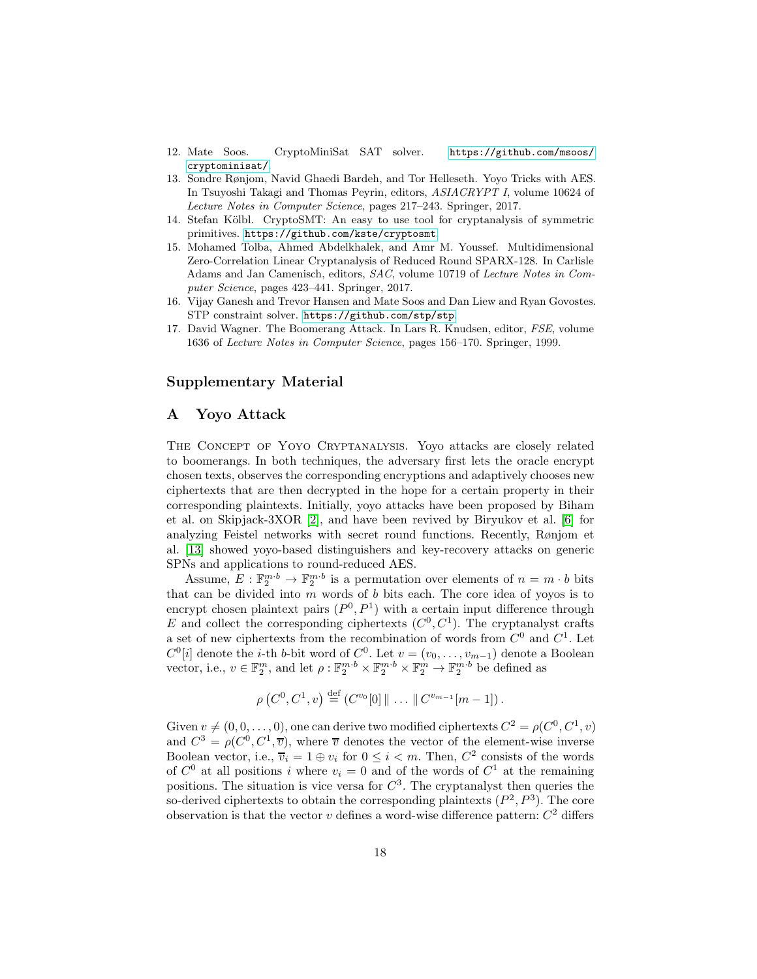- <span id="page-17-3"></span>12. Mate Soos. CryptoMiniSat SAT solver. [https://github.com/msoos/](https://github.com/msoos/cryptominisat/) [cryptominisat/](https://github.com/msoos/cryptominisat/).
- 13. Sondre Rønjom, Navid Ghaedi Bardeh, and Tor Helleseth. Yoyo Tricks with AES. In Tsuyoshi Takagi and Thomas Peyrin, editors, ASIACRYPT I, volume 10624 of Lecture Notes in Computer Science, pages 217–243. Springer, 2017.
- <span id="page-17-2"></span>14. Stefan Kölbl. CryptoSMT: An easy to use tool for cryptanalysis of symmetric primitives. <https://github.com/kste/cryptosmt>.
- 15. Mohamed Tolba, Ahmed Abdelkhalek, and Amr M. Youssef. Multidimensional Zero-Correlation Linear Cryptanalysis of Reduced Round SPARX-128. In Carlisle Adams and Jan Camenisch, editors, SAC, volume 10719 of Lecture Notes in Computer Science, pages 423–441. Springer, 2017.
- <span id="page-17-4"></span>16. Vijay Ganesh and Trevor Hansen and Mate Soos and Dan Liew and Ryan Govostes. STP constraint solver. <https://github.com/stp/stp>.
- <span id="page-17-1"></span>17. David Wagner. The Boomerang Attack. In Lars R. Knudsen, editor, FSE, volume 1636 of Lecture Notes in Computer Science, pages 156–170. Springer, 1999.

### Supplementary Material

### <span id="page-17-0"></span>A Yoyo Attack

The Concept of Yoyo Cryptanalysis. Yoyo attacks are closely related to boomerangs. In both techniques, the adversary first lets the oracle encrypt chosen texts, observes the corresponding encryptions and adaptively chooses new ciphertexts that are then decrypted in the hope for a certain property in their corresponding plaintexts. Initially, yoyo attacks have been proposed by Biham et al. on Skipjack-3XOR [2], and have been revived by Biryukov et al. [6] for analyzing Feistel networks with secret round functions. Recently, Rønjom et al. [13] showed yoyo-based distinguishers and key-recovery attacks on generic SPNs and applications to round-reduced AES.

Assume,  $E: \mathbb{F}_2^{m \cdot b} \to \mathbb{F}_2^{m \cdot b}$  is a permutation over elements of  $n = m \cdot b$  bits that can be divided into  $m$  words of  $b$  bits each. The core idea of yoyos is to encrypt chosen plaintext pairs  $(P^0, P^1)$  with a certain input difference through E and collect the corresponding ciphertexts  $(C^0, C^1)$ . The cryptanalyst crafts a set of new ciphertexts from the recombination of words from  $C^0$  and  $C^1$ . Let  $C^0[i]$  denote the *i*-th *b*-bit word of  $C^0$ . Let  $v = (v_0, \ldots, v_{m-1})$  denote a Boolean vector, i.e.,  $v \in \mathbb{F}_2^m$ , and let  $\rho: \mathbb{F}_2^{m \cdot b} \times \mathbb{F}_2^{m \cdot b} \times \mathbb{F}_2^m \to \mathbb{F}_2^{m \cdot b}$  be defined as

$$
\rho(C^0, C^1, v) \stackrel{\text{def}}{=} (C^{v_0}[0] \| \dots \| C^{v_{m-1}}[m-1]).
$$

Given  $v \neq (0, 0, \ldots, 0)$ , one can derive two modified ciphertexts  $C^2 = \rho(C^0, C^1, v)$ and  $C^3 = \rho(C^0, C^1, \overline{v})$ , where  $\overline{v}$  denotes the vector of the element-wise inverse Boolean vector, i.e.,  $\overline{v}_i = 1 \oplus v_i$  for  $0 \leq i < m$ . Then,  $C^2$  consists of the words of  $C^0$  at all positions i where  $v_i = 0$  and of the words of  $C^1$  at the remaining positions. The situation is vice versa for  $C^3$ . The cryptanalyst then queries the so-derived ciphertexts to obtain the corresponding plaintexts  $(P^2, P^3)$ . The core observation is that the vector  $v$  defines a word-wise difference pattern:  $C^2$  differs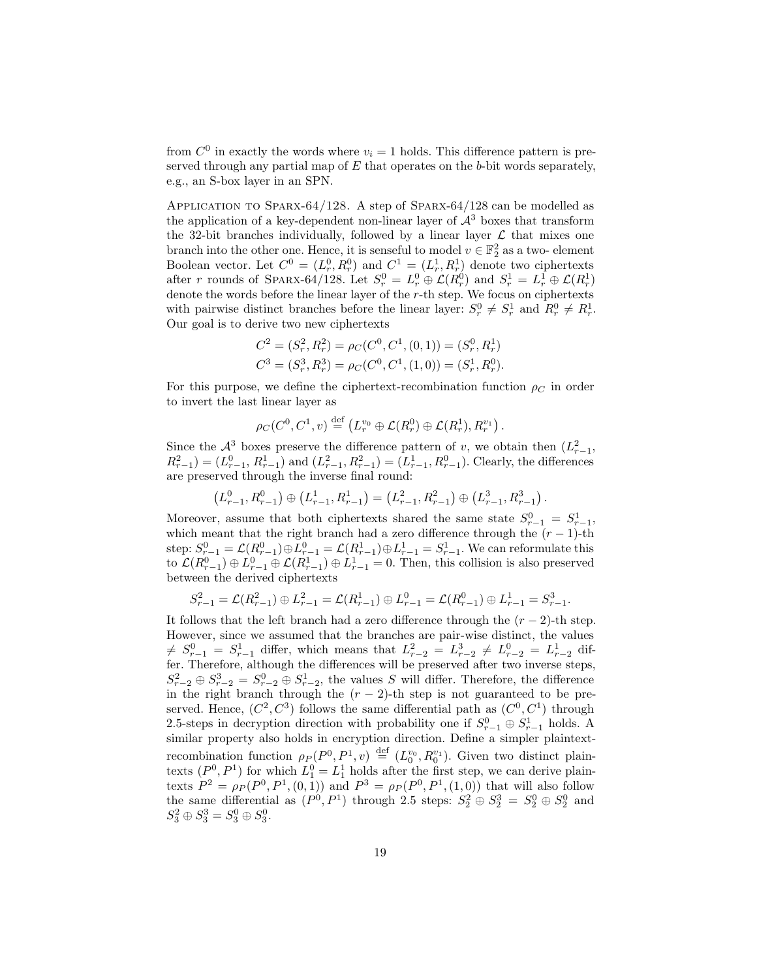from  $C^0$  in exactly the words where  $v_i = 1$  holds. This difference pattern is preserved through any partial map of  $E$  that operates on the b-bit words separately, e.g., an S-box layer in an SPN.

Application to Sparx-64/128. A step of Sparx-64/128 can be modelled as the application of a key-dependent non-linear layer of  $\mathcal{A}^3$  boxes that transform the 32-bit branches individually, followed by a linear layer  $\mathcal L$  that mixes one branch into the other one. Hence, it is senseful to model  $v \in \mathbb{F}_2^2$  as a two-element Boolean vector. Let  $C^0 = (L_r^0, R_r^0)$  and  $C^1 = (L_r^1, R_r^1)$  denote two ciphertexts after r rounds of SPARX-64/128. Let  $S_r^0 = L_r^0 \oplus \mathcal{L}(R_r^0)$  and  $S_r^1 = L_r^1 \oplus \mathcal{L}(R_r^1)$ denote the words before the linear layer of the  $r$ -th step. We focus on ciphertexts with pairwise distinct branches before the linear layer:  $S_r^0 \neq S_r^1$  and  $R_r^0 \neq R_r^1$ . Our goal is to derive two new ciphertexts

$$
C^2 = (S_r^2, R_r^2) = \rho_C(C^0, C^1, (0, 1)) = (S_r^0, R_r^1)
$$
  

$$
C^3 = (S_r^3, R_r^3) = \rho_C(C^0, C^1, (1, 0)) = (S_r^1, R_r^0).
$$

For this purpose, we define the ciphertext-recombination function  $\rho_C$  in order to invert the last linear layer as

 $\rho_C(C^0, C^1, v) \stackrel{\text{def}}{=} \left( L_r^{v_0} \oplus \mathcal{L}(R_r^0) \oplus \mathcal{L}(R_r^1), R_r^{v_1} \right).$ 

Since the  $\mathcal{A}^3$  boxes preserve the difference pattern of v, we obtain then  $(L_{r-1}^2,$  $R_{r-1}^2 = (L_{r-1}^0, R_{r-1}^1)$  and  $(L_{r-1}^2, R_{r-1}^2) = (L_{r-1}^1, R_{r-1}^0)$ . Clearly, the differences are preserved through the inverse final round:

$$
(L^0_{r-1}, R^0_{r-1}) \oplus (L^1_{r-1}, R^1_{r-1}) = (L^2_{r-1}, R^2_{r-1}) \oplus (L^3_{r-1}, R^3_{r-1}).
$$

Moreover, assume that both ciphertexts shared the same state  $S_{r-1}^0 = S_{r-1}^1$ , which meant that the right branch had a zero difference through the  $(r - 1)$ -th step:  $S_{r-1}^0 = \mathcal{L}(R_{r-1}^0) \oplus L_{r-1}^0 = \mathcal{L}(R_{r-1}^1) \oplus L_{r-1}^1 = S_{r-1}^1$ . We can reformulate this to  $\mathcal{L}(R_{r-1}^0) \oplus L_{r-1}^0 \oplus \mathcal{L}(R_{r-1}^1) \oplus L_{r-1}^1 = 0$ . Then, this collision is also preserved between the derived ciphertexts

$$
S_{r-1}^2 = \mathcal{L}(R_{r-1}^2) \oplus L_{r-1}^2 = \mathcal{L}(R_{r-1}^1) \oplus L_{r-1}^0 = \mathcal{L}(R_{r-1}^0) \oplus L_{r-1}^1 = S_{r-1}^3.
$$

It follows that the left branch had a zero difference through the  $(r - 2)$ -th step. However, since we assumed that the branches are pair-wise distinct, the values  $\neq S_{r-1}^0 = S_{r-1}^1$  differ, which means that  $L_{r-2}^2 = L_{r-2}^3 \neq L_{r-2}^0 = L_{r-2}^1$  differ. Therefore, although the differences will be preserved after two inverse steps,  $S_{r-2}^2 \oplus S_{r-2}^3 = S_{r-2}^0 \oplus S_{r-2}^1$ , the values S will differ. Therefore, the difference in the right branch through the  $(r - 2)$ -th step is not guaranteed to be preserved. Hence,  $(C^2, C^3)$  follows the same differential path as  $(C^0, C^1)$  through 2.5-steps in decryption direction with probability one if  $S_{r-1}^0 \oplus S_{r-1}^1$  holds. A similar property also holds in encryption direction. Define a simpler plaintextrecombination function  $\rho_P(P^0, P^1, v) \stackrel{\text{def}}{=} (L_0^{v_0}, R_0^{v_1})$ . Given two distinct plaintexts  $(P^0, P^1)$  for which  $L_1^0 = L_1^1$  holds after the first step, we can derive plaintexts  $P^2 = \rho_P(P^0, P^1, (0, 1))$  and  $P^3 = \rho_P(P^0, P^1, (1, 0))$  that will also follow the same differential as  $(P^0, P^1)$  through 2.5 steps:  $S_2^2 \oplus S_2^3 = S_2^0 \oplus S_2^0$  and  $S_3^2 \oplus S_3^3 = S_3^0 \oplus S_3^0.$